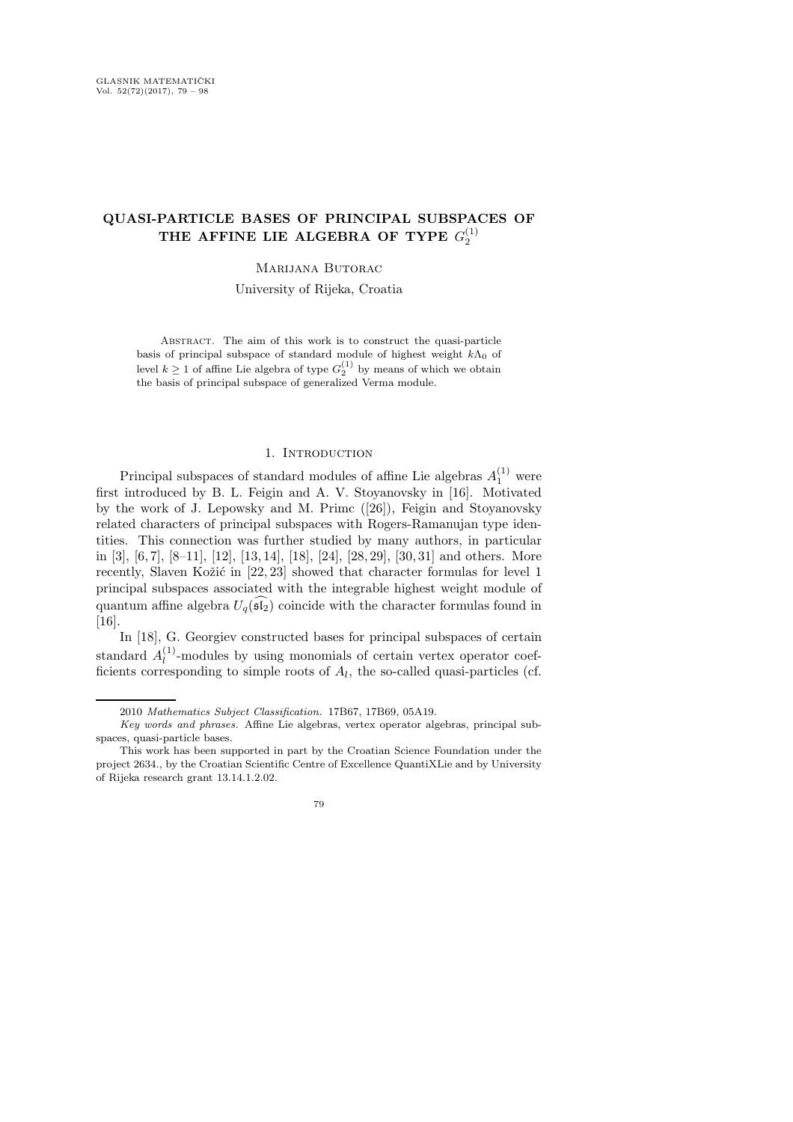# QUASI-PARTICLE BASES OF PRINCIPAL SUBSPACES OF THE AFFINE LIE ALGEBRA OF TYPE  $G_2^{(1)}$

# Marijana Butorac

University of Rijeka, Croatia

ABSTRACT. The aim of this work is to construct the quasi-particle basis of principal subspace of standard module of highest weight  $k\Lambda_0$  of level  $k \geq 1$  of affine Lie algebra of type  $G_2^{(1)}$  by means of which we obtain the basis of principal subspace of generalized Verma module.

# 1. INTRODUCTION

Principal subspaces of standard modules of affine Lie algebras  $A_1^{(1)}$  were first introduced by B. L. Feigin and A. V. Stoyanovsky in [16]. Motivated by the work of J. Lepowsky and M. Primc ([26]), Feigin and Stoyanovsky related characters of principal subspaces with Rogers-Ramanujan type identities. This connection was further studied by many authors, in particular in [3], [6, 7], [8–11], [12], [13, 14], [18], [24], [28, 29], [30, 31] and others. More recently, Slaven Kožić in  $[22, 23]$  showed that character formulas for level 1 principal subspaces associated with the integrable highest weight module of quantum affine algebra  $U_q(\widehat{\mathfrak{sl}_2})$  coincide with the character formulas found in [16].

In [18], G. Georgiev constructed bases for principal subspaces of certain standard  $A_l^{(1)}$  $\mu_l^{(1)}$ -modules by using monomials of certain vertex operator coefficients corresponding to simple roots of  $A_l$ , the so-called quasi-particles (cf.

<sup>2010</sup> Mathematics Subject Classification. 17B67, 17B69, 05A19.

Key words and phrases. Affine Lie algebras, vertex operator algebras, principal subspaces, quasi-particle bases.

This work has been supported in part by the Croatian Science Foundation under the project 2634., by the Croatian Scientific Centre of Excellence QuantiXLie and by University of Rijeka research grant 13.14.1.2.02.

<sup>79</sup>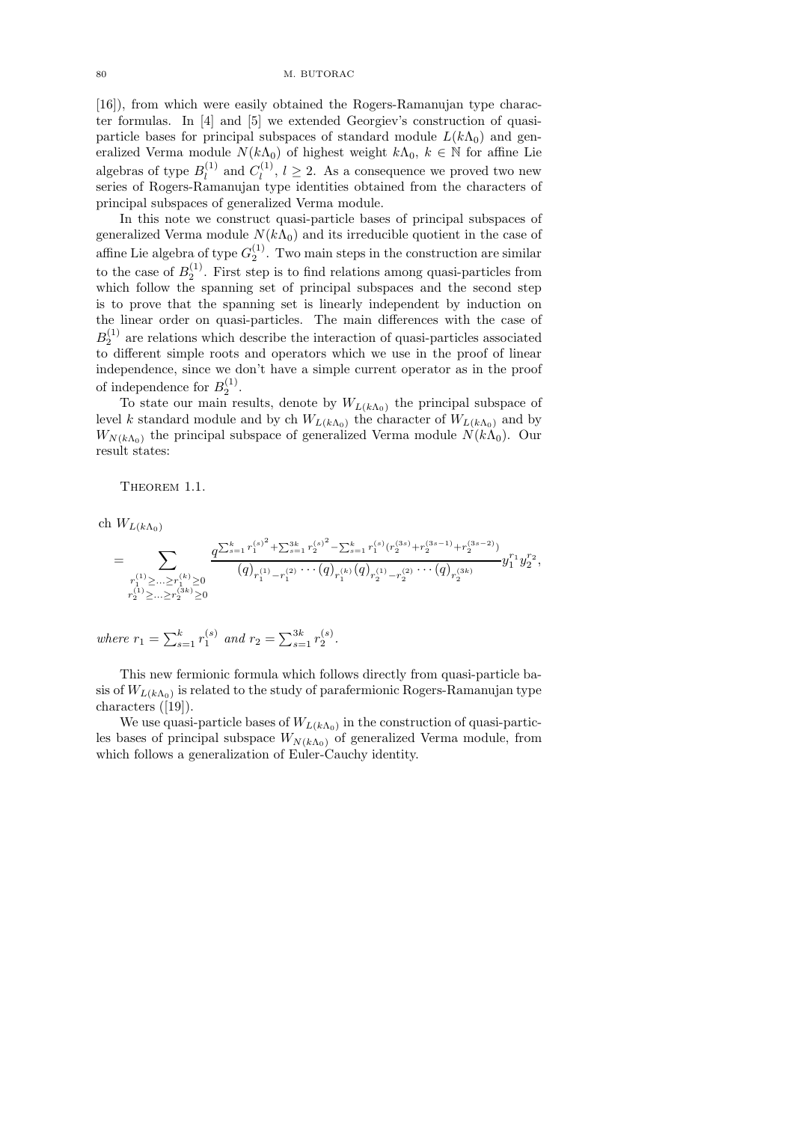[16]), from which were easily obtained the Rogers-Ramanujan type character formulas. In [4] and [5] we extended Georgiev's construction of quasiparticle bases for principal subspaces of standard module  $L(k\Lambda_0)$  and generalized Verma module  $N(k\Lambda_0)$  of highest weight  $k\Lambda_0, k \in \mathbb{N}$  for affine Lie algebras of type  $B_l^{(1)}$  $_{l}^{(1)}$  and  $C_{l}^{(1)}$  $\ell_l^{(1)}$ ,  $l \geq 2$ . As a consequence we proved two new series of Rogers-Ramanujan type identities obtained from the characters of principal subspaces of generalized Verma module.

In this note we construct quasi-particle bases of principal subspaces of generalized Verma module  $N(k\Lambda_0)$  and its irreducible quotient in the case of affine Lie algebra of type  $G_2^{(1)}$ . Two main steps in the construction are similar to the case of  $B_2^{(1)}$ . First step is to find relations among quasi-particles from which follow the spanning set of principal subspaces and the second step is to prove that the spanning set is linearly independent by induction on the linear order on quasi-particles. The main differences with the case of  $B_2^{(1)}$  are relations which describe the interaction of quasi-particles associated to different simple roots and operators which we use in the proof of linear independence, since we don't have a simple current operator as in the proof of independence for  $B_2^{(1)}$ .

To state our main results, denote by  $W_{L(k\Lambda_0)}$  the principal subspace of level k standard module and by ch  $W_{L(k\Lambda_0)}$  the character of  $W_{L(k\Lambda_0)}$  and by  $W_{N(k\Lambda_0)}$  the principal subspace of generalized Verma module  $N(k\Lambda_0)$ . Our result states:

THEOREM 1.1.

ch  $W_{L(k\Lambda_0)}$ 

$$
=\sum_{\substack{r^{(1)}_1\geq \ldots \geq r^{(k)}_1\geq 0 \\ r^{(1)}_2\geq \ldots \geq r^{(k)}_2\geq 0 \\ r^{(1)}_2\geq \ldots \geq r^{(k)}_2\geq 0}}\frac {q^{\sum_{s=1}^k r^{(s)^2}_1+\sum_{s=1}^{3k}r^{(s)^2}_2-\sum_{s=1}^k r^{(s)}_1(r^{(3s)}_2+r^{(3s-1)}_2+r^{(3s-2)}_2)}}{(q)_{r^{(1)}_1-r^{(2)}_1}\cdots (q)_{r^{(k)}_1}(q)_{r^{(1)}_2-r^{(2)}_2}\cdots (q)_{r^{(3k)}_2}}y_1^{r_1}y_2^{r_2},
$$

where 
$$
r_1 = \sum_{s=1}^{k} r_1^{(s)}
$$
 and  $r_2 = \sum_{s=1}^{3k} r_2^{(s)}$ .

This new fermionic formula which follows directly from quasi-particle basis of  $W_{L(k\Lambda_{0})}$  is related to the study of parafermionic Rogers-Ramanujan type characters ([19]).

We use quasi-particle bases of  $W_{L(k\Lambda_0)}$  in the construction of quasi-particles bases of principal subspace  $W_{N(k\Lambda_0)}$  of generalized Verma module, from which follows a generalization of Euler-Cauchy identity.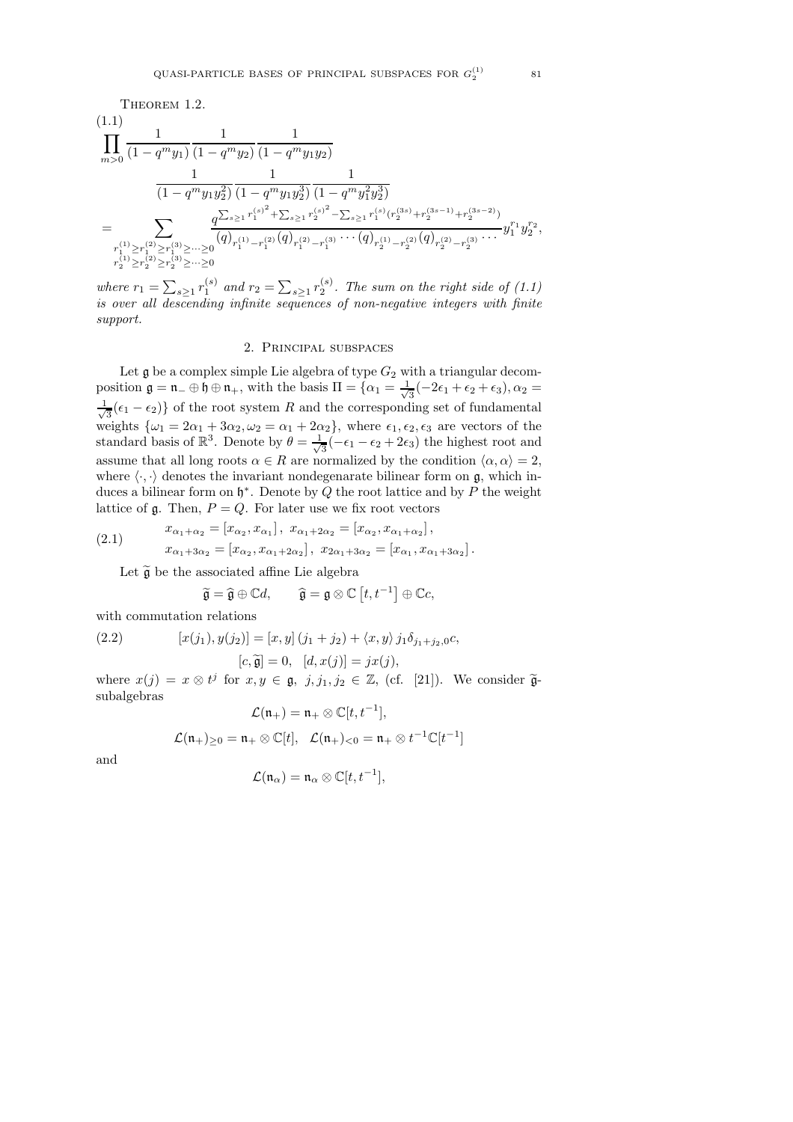THEOREM 1.2.  
\n(1.1)  
\n
$$
\prod_{m>0} \frac{1}{(1-q^m y_1)} \frac{1}{(1-q^m y_2)} \frac{1}{(1-q^m y_1 y_2)}
$$
\n
$$
\frac{1}{(1-q^m y_1 y_2^2)} \frac{1}{(1-q^m y_1 y_2^3)} \frac{1}{(1-q^m y_1^2 y_2^3)}
$$
\n
$$
= \sum_{\substack{r_1^{(1)} \ge r_1^{(2)} \ge r_1^{(3)} \ge \dots \ge 0}} \frac{q^{\sum_{s \ge 1} r_1^{(s)^2} + \sum_{s \ge 1} r_2^{(s)^2} - \sum_{s \ge 1} r_1^{(s)} (r_2^{(3s)} + r_2^{(3s-1)} + r_2^{(3s-2)})}}{(q)_{r_1^{(1)} - r_1^{(2)}}(q)_{r_1^{(2)} - r_1^{(3)}} \cdots (q)_{r_2^{(1)} - r_2^{(2)}}(q)_{r_2^{(2)} - r_2^{(3)}} \cdots y_1^{r_1} y_2^{r_2},
$$
\n
$$
r_2^{(1)} \ge r_2^{(2)} \ge r_2^{(3)} \ge \dots \ge 0
$$

where  $r_1 = \sum_{s\geq 1} r_1^{(s)}$  and  $r_2 = \sum_{s\geq 1} r_2^{(s)}$ . The sum on the right side of (1.1) is over all descending infinite sequences of non-negative integers with finite support.

### 2. Principal subspaces

Let  $\mathfrak g$  be a complex simple Lie algebra of type  $G_2$  with a triangular decomposition  $\mathfrak{g} = \mathfrak{n}_{-} \oplus \mathfrak{h} \oplus \mathfrak{n}_{+}$ , with the basis  $\Pi = \{ \alpha_1 = \frac{1}{\sqrt{n}} \}$  $\frac{1}{3}(-2\epsilon_1+\epsilon_2+\epsilon_3), \alpha_2=$ √ 1  $\frac{1}{3}$ ( $\epsilon_1$  −  $\epsilon_2$ )} of the root system R and the corresponding set of fundamental weights  $\{\omega_1 = 2\alpha_1 + 3\alpha_2, \omega_2 = \alpha_1 + 2\alpha_2\}$ , where  $\epsilon_1, \epsilon_2, \epsilon_3$  are vectors of the standard basis of  $\mathbb{R}^3$ . Denote by  $\theta = \frac{1}{\sqrt{2}}$  $\frac{1}{3}(-\epsilon_1 - \epsilon_2 + 2\epsilon_3)$  the highest root and assume that all long roots  $\alpha \in R$  are normalized by the condition  $\langle \alpha, \alpha \rangle = 2$ , where  $\langle \cdot, \cdot \rangle$  denotes the invariant nondegenarate bilinear form on g, which induces a bilinear form on  $\mathfrak{h}^*$ . Denote by Q the root lattice and by P the weight lattice of  $\mathfrak g$ . Then,  $P=Q$ . For later use we fix root vectors

(2.1) 
$$
x_{\alpha_1+\alpha_2} = [x_{\alpha_2}, x_{\alpha_1}], x_{\alpha_1+2\alpha_2} = [x_{\alpha_2}, x_{\alpha_1+\alpha_2}],
$$

$$
x_{\alpha_1+3\alpha_2} = [x_{\alpha_2}, x_{\alpha_1+2\alpha_2}], x_{2\alpha_1+3\alpha_2} = [x_{\alpha_1}, x_{\alpha_1+3\alpha_2}].
$$

Let  $\widetilde{\mathfrak{g}}$  be the associated affine Lie algebra

$$
\widetilde{\mathfrak{g}} = \widehat{\mathfrak{g}} \oplus \mathbb{C}d, \qquad \widehat{\mathfrak{g}} = \mathfrak{g} \otimes \mathbb{C} [t, t^{-1}] \oplus \mathbb{C}c,
$$

with commutation relations

(2.2) 
$$
[x(j_1), y(j_2)] = [x, y] (j_1 + j_2) + \langle x, y \rangle j_1 \delta_{j_1 + j_2, 0} c,
$$

$$
[c, \widetilde{\mathfrak{g}}] = 0, [d, x(j)] = jx(j),
$$

where  $x(j) = x \otimes t^j$  for  $x, y \in \mathfrak{g}$ ,  $j, j_1, j_2 \in \mathbb{Z}$ , (cf. [21]). We consider  $\tilde{\mathfrak{g}}$ subalgebras

$$
\mathcal{L}(\mathfrak{n}_+)=\mathfrak{n}_+\otimes \mathbb{C}[t,t^{-1}],
$$

$$
\mathcal{L}(\mathfrak{n}_+)_{\geq 0} = \mathfrak{n}_+ \otimes \mathbb{C}[t], \quad \mathcal{L}(\mathfrak{n}_+)_{< 0} = \mathfrak{n}_+ \otimes t^{-1}\mathbb{C}[t^{-1}]
$$

and

$$
\mathcal{L}(\mathfrak{n}_{\alpha})=\mathfrak{n}_{\alpha}\otimes\mathbb{C}[t,t^{-1}],
$$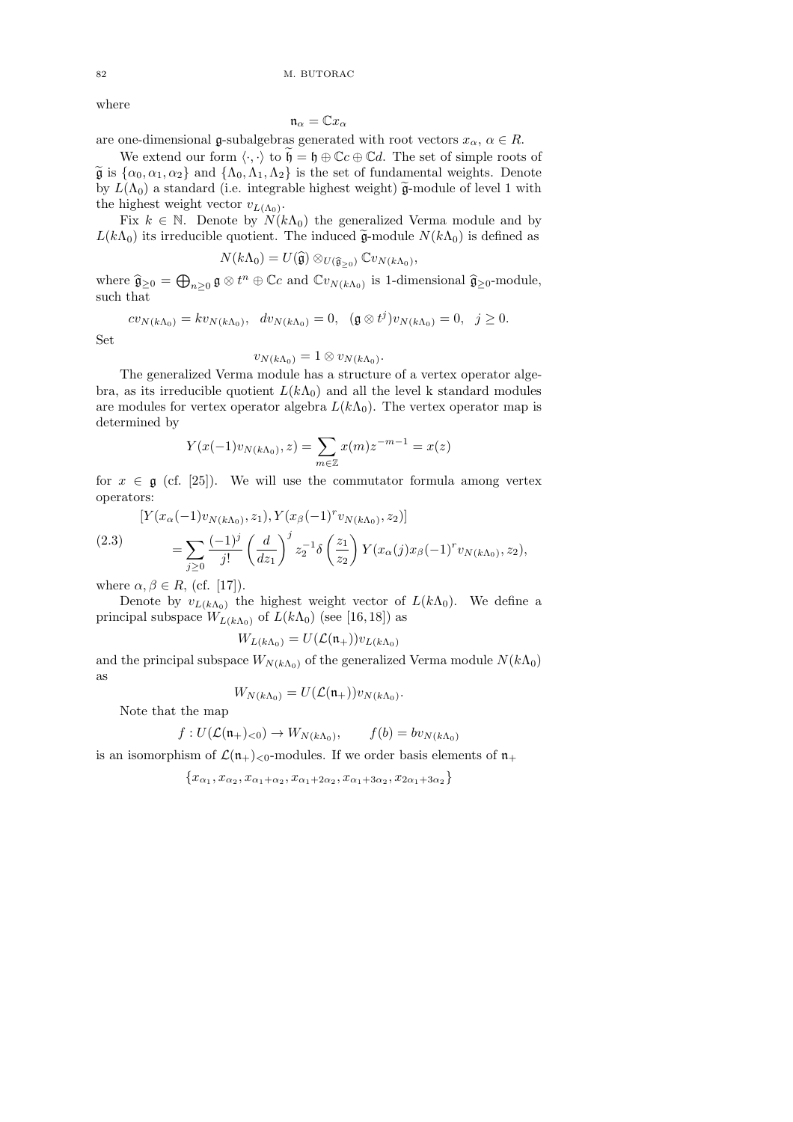where

$$
\mathfrak{n}_{\alpha}=\mathbb{C}x_{\alpha}
$$

are one-dimensional g-subalgebras generated with root vectors  $x_{\alpha}$ ,  $\alpha \in R$ .

We extend our form  $\langle \cdot, \cdot \rangle$  to  $\tilde{\mathfrak{h}} = \mathfrak{h} \oplus \mathbb{C}c \oplus \mathbb{C}d$ . The set of simple roots of  $\tilde{\mathfrak{g}}$  is  $\{\alpha_0, \alpha_1, \alpha_2\}$  and  $\{\Lambda_0, \Lambda_1, \Lambda_2\}$  is the set of fundamental weights. Denote by  $L(\Lambda_0)$  a standard (i.e. integrable highest weight)  $\tilde{\mathfrak{g}}$ -module of level 1 with the highest weight vector  $v_{L(\Lambda_0)}$ .

Fix  $k \in \mathbb{N}$ . Denote by  $N(k\Lambda_0)$  the generalized Verma module and by  $L(k\Lambda_0)$  its irreducible quotient. The induced  $\tilde{\mathfrak{g}}$ -module  $N(k\Lambda_0)$  is defined as

$$
N(k\Lambda_0)=U(\widehat{\mathfrak{g}})\otimes_{U(\widehat{\mathfrak{g}}_{\geq 0})}\mathbb{C}v_{N(k\Lambda_0)},
$$

where  $\hat{\mathfrak{g}}_{\geq 0} = \bigoplus_{n \geq 0} \mathfrak{g} \otimes t^n \oplus \mathbb{C}c$  and  $\mathbb{C}v_{N(k\Lambda_0)}$  is 1-dimensional  $\hat{\mathfrak{g}}_{\geq 0}$ -module, such that

$$
cv_{N(k\Lambda_0)} = kv_{N(k\Lambda_0)}, dv_{N(k\Lambda_0)} = 0, (\mathfrak{g} \otimes t^j)v_{N(k\Lambda_0)} = 0, j \ge 0.
$$

Set

$$
v_{N(k\Lambda_0)}=1\otimes v_{N(k\Lambda_0)}.
$$

The generalized Verma module has a structure of a vertex operator algebra, as its irreducible quotient  $L(k\Lambda_0)$  and all the level k standard modules are modules for vertex operator algebra  $L(k\Lambda_0)$ . The vertex operator map is determined by

$$
Y(x(-1)v_{N(k\Lambda_0)}, z) = \sum_{m \in \mathbb{Z}} x(m)z^{-m-1} = x(z)
$$

for  $x \in \mathfrak{g}$  (cf. [25]). We will use the commutator formula among vertex operators:

$$
[Y(x_{\alpha}(-1)v_{N(k\Lambda_0)}, z_1), Y(x_{\beta}(-1)^{r}v_{N(k\Lambda_0)}, z_2)]
$$
  
\n
$$
= \sum_{j\geq 0} \frac{(-1)^{j}}{j!} \left(\frac{d}{dz_1}\right)^{j} z_2^{-1} \delta\left(\frac{z_1}{z_2}\right) Y(x_{\alpha}(j)x_{\beta}(-1)^{r}v_{N(k\Lambda_0)}, z_2),
$$

where  $\alpha, \beta \in R$ , (cf. [17]).

Denote by  $v_{L(k\Lambda_0)}$  the highest weight vector of  $L(k\Lambda_0)$ . We define a principal subspace  $W_{L(k\Lambda_0)}$  of  $L(k\Lambda_0)$  (see [16,18]) as

$$
W_{L(k\Lambda_0)} = U(\mathcal{L}(\mathfrak{n}_+))v_{L(k\Lambda_0)}
$$

and the principal subspace  $W_{N(k\Lambda_0)}$  of the generalized Verma module  $N(k\Lambda_0)$ as

$$
W_{N(k\Lambda_0)}=U(\mathcal{L}(\mathfrak{n}_+))v_{N(k\Lambda_0)}.
$$

Note that the map

$$
f: U(\mathcal{L}(\mathfrak{n}_+)0) \to W_{N(k\Lambda_0)}, \qquad f(b) = bv_{N(k\Lambda_0)}
$$

is an isomorphism of  $\mathcal{L}(\mathfrak{n}_+)_{<0}$ -modules. If we order basis elements of  $\mathfrak{n}_+$ 

$$
\{x_{\alpha_1},x_{\alpha_2},x_{\alpha_1+\alpha_2},x_{\alpha_1+2\alpha_2},x_{\alpha_1+3\alpha_2},x_{2\alpha_1+3\alpha_2}\}
$$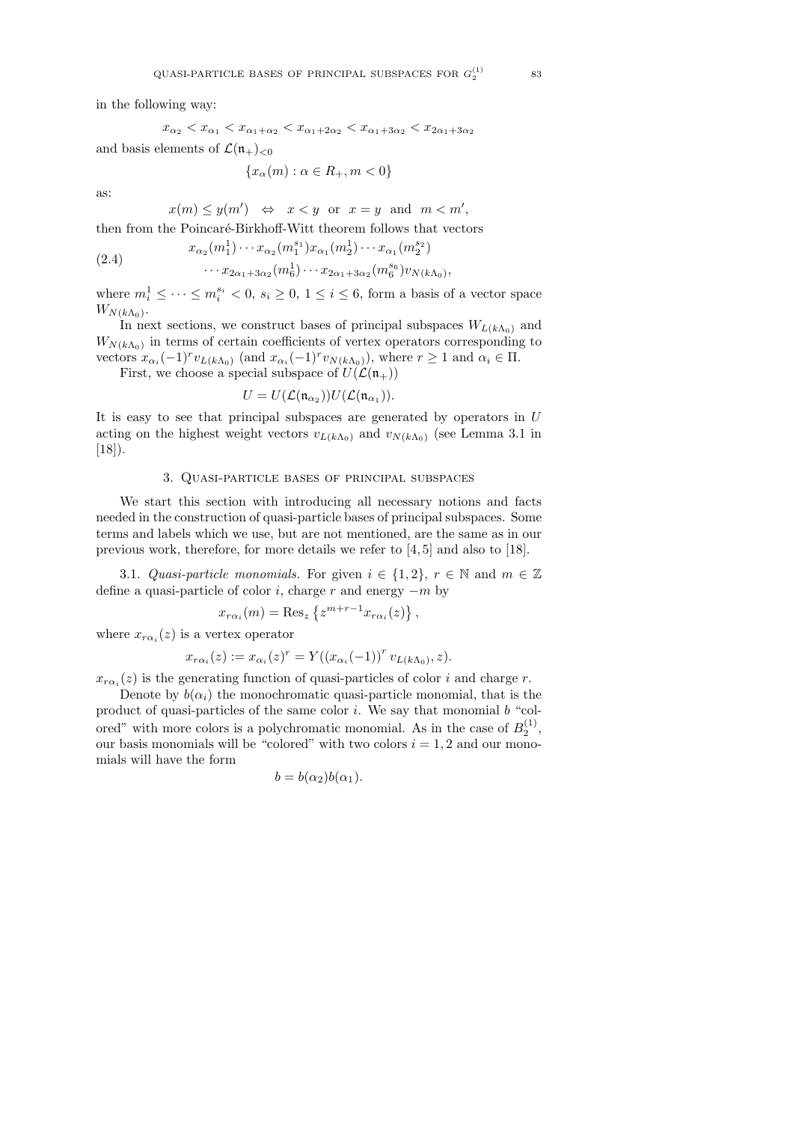in the following way:

$$
x_{\alpha_2} < x_{\alpha_1} < x_{\alpha_1 + \alpha_2} < x_{\alpha_1 + 2\alpha_2} < x_{\alpha_1 + 3\alpha_2} < x_{2\alpha_1 + 3\alpha_2}
$$

and basis elements of  $\mathcal{L}(\mathfrak{n}_+)_{\leq 0}$ 

$$
\{x_{\alpha}(m): \alpha \in R_+, m < 0\}
$$

as:

 $x(m) \leq y(m') \Leftrightarrow x < y \text{ or } x = y \text{ and } m < m'$ ,

then from the Poincaré-Birkhoff-Witt theorem follows that vectors

(2.4) 
$$
x_{\alpha_2}(m_1^1) \cdots x_{\alpha_2}(m_1^{s_1}) x_{\alpha_1}(m_2^1) \cdots x_{\alpha_1}(m_2^{s_2}) \cdots x_{2\alpha_1+3\alpha_2}(m_6^1) \cdots x_{2\alpha_1+3\alpha_2}(m_6^{s_6}) v_{N(k\Lambda_0)},
$$

where  $m_i^1 \leq \cdots \leq m_i^{s_i} < 0$ ,  $s_i \geq 0$ ,  $1 \leq i \leq 6$ , form a basis of a vector space  $W_{N(k\Lambda_0)}$ .

In next sections, we construct bases of principal subspaces  $W_{L(k\Lambda_0)}$  and  $W_{N(k\Lambda_0)}$  in terms of certain coefficients of vertex operators corresponding to vectors  $x_{\alpha_i}(-1)^r v_{L(k\Lambda_0)}$  (and  $x_{\alpha_i}(-1)^r v_{N(k\Lambda_0)}$ ), where  $r \ge 1$  and  $\alpha_i \in \Pi$ .

First, we choose a special subspace of  $U(\mathcal{L}(\mathfrak{n}_+))$ 

$$
U=U(\mathcal{L}(\mathfrak{n}_{\alpha_2}))U(\mathcal{L}(\mathfrak{n}_{\alpha_1})).
$$

It is easy to see that principal subspaces are generated by operators in  $U$ acting on the highest weight vectors  $v_{L(k\Lambda_0)}$  and  $v_{N(k\Lambda_0)}$  (see Lemma 3.1 in  $[18]$ .

#### 3. Quasi-particle bases of principal subspaces

We start this section with introducing all necessary notions and facts needed in the construction of quasi-particle bases of principal subspaces. Some terms and labels which we use, but are not mentioned, are the same as in our previous work, therefore, for more details we refer to [4, 5] and also to [18].

3.1. Quasi-particle monomials. For given  $i \in \{1,2\}$ ,  $r \in \mathbb{N}$  and  $m \in \mathbb{Z}$ define a quasi-particle of color i, charge r and energy  $-m$  by

$$
x_{r\alpha_i}(m) = \text{Res}_z \left\{ z^{m+r-1} x_{r\alpha_i}(z) \right\},\,
$$

where  $x_{r\alpha_i}(z)$  is a vertex operator

$$
x_{r\alpha_i}(z) := x_{\alpha_i}(z)^r = Y((x_{\alpha_i}(-1))^r v_{L(k\Lambda_0)}, z).
$$

 $x_{r\alpha_i}(z)$  is the generating function of quasi-particles of color i and charge r.

Denote by  $b(\alpha_i)$  the monochromatic quasi-particle monomial, that is the product of quasi-particles of the same color  $i$ . We say that monomial  $b$  "colored" with more colors is a polychromatic monomial. As in the case of  $B_2^{(1)}$ , our basis monomials will be "colored" with two colors  $i = 1, 2$  and our monomials will have the form

$$
b = b(\alpha_2)b(\alpha_1).
$$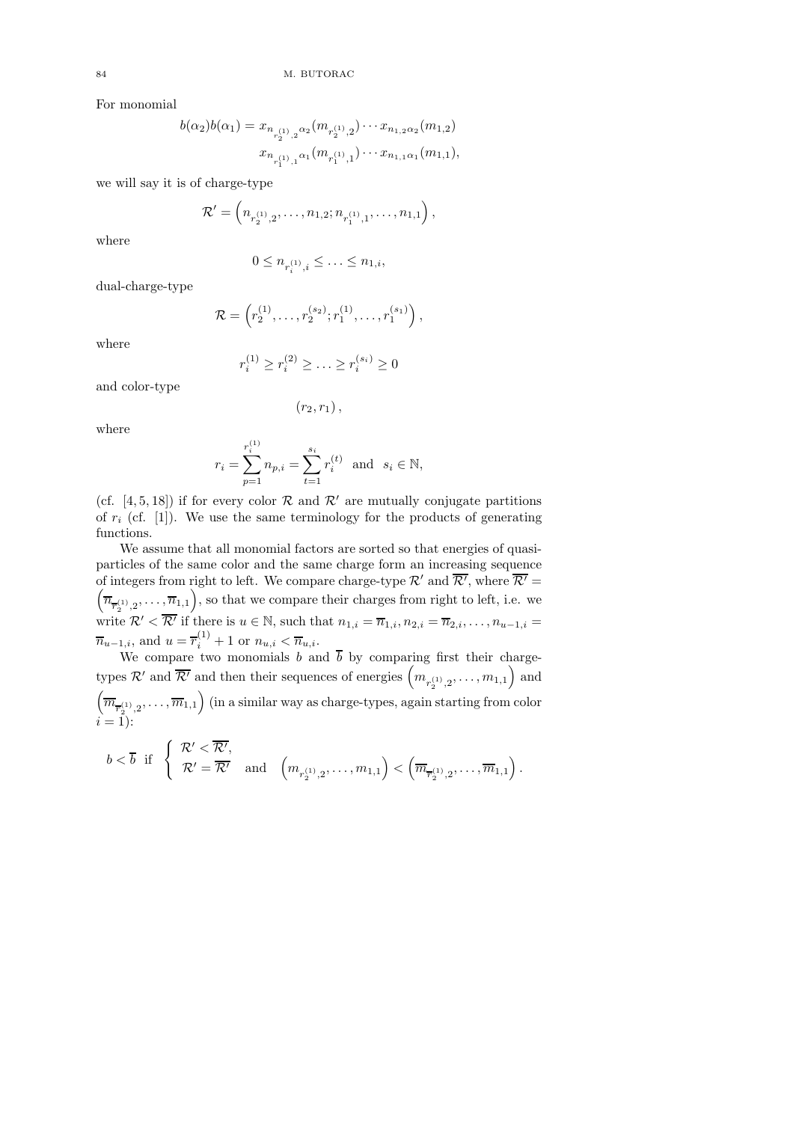For monomial

$$
b(\alpha_2)b(\alpha_1) = x_{n_{r_2^{(1)},2}\alpha_2}(m_{r_2^{(1)},2})\cdots x_{n_{1,2}\alpha_2}(m_{1,2})
$$

$$
x_{n_{r_1^{(1)},1}\alpha_1}(m_{r_1^{(1)},1})\cdots x_{n_{1,1}\alpha_1}(m_{1,1}),
$$

we will say it is of charge-type

$$
\mathcal{R}'=\left(n_{r_{2}^{(1)},2},\ldots,n_{1,2};n_{r_{1}^{(1)},1},\ldots,n_{1,1}\right),
$$

where

$$
0 \leq n_{r_i^{(1)},i} \leq \ldots \leq n_{1,i},
$$

dual-charge-type

where

$$
r_i^{(1)} \ge r_i^{(2)} \ge \ldots \ge r_i^{(s_i)} \ge 0
$$

 $\mathcal{R} = \left( r_2^{(1)}, \ldots, r_2^{(s_2)}; r_1^{(1)}, \ldots, r_1^{(s_1)} \right),$ 

and color-type

$$
(r_2,r_1)\,,
$$

where

$$
r_i = \sum_{p=1}^{r_i^{(1)}} n_{p,i} = \sum_{t=1}^{s_i} r_i^{(t)} \text{ and } s_i \in \mathbb{N},
$$

(cf. [4, 5, 18]) if for every color  $\mathcal R$  and  $\mathcal R'$  are mutually conjugate partitions of  $r_i$  (cf. [1]). We use the same terminology for the products of generating functions.

We assume that all monomial factors are sorted so that energies of quasiparticles of the same color and the same charge form an increasing sequence of integers from right to left. We compare charge-type  $\mathcal{R}'$  and  $\mathcal{R}'$ , where  $\mathcal{R}'$  =  $(\overline{n_{\overline{r}_{2}^{(1)},2},\ldots,\overline{n}_{1,1}})$ , so that we compare their charges from right to left, i.e. we write  $\mathcal{R}' \leq \overline{\mathcal{R}'}$  if there is  $u \in \mathbb{N}$ , such that  $n_{1,i} = \overline{n}_{1,i}, n_{2,i} = \overline{n}_{2,i}, \ldots, n_{u-1,i} =$  $\overline{n}_{u-1,i}$ , and  $u = \overline{r}_i^{(1)} + 1$  or  $n_{u,i} < \overline{n}_{u,i}$ .

We compare two monomials b and  $\overline{b}$  by comparing first their chargetypes  $\mathcal{R}'$  and  $\overline{\mathcal{R}'}$  and then their sequences of energies  $(m_{r_2^{(1)},2},...,m_{1,1})$  and  $(\overline{m}_{\overline{r}_2^{(1)},2},\ldots,\overline{m}_{1,1})$  (in a similar way as charge-types, again starting from color  $i = 1$ :

$$
b < \overline{b} \text{ if } \begin{cases} \mathcal{R}' < \overline{\mathcal{R}'}, \\ \mathcal{R}' = \overline{\mathcal{R}'} \text{ and } \left(m_{r_2^{(1)},2}, \ldots, m_{1,1}\right) < \left(\overline{m}_{\overline{r}_2^{(1)},2}, \ldots, \overline{m}_{1,1}\right).
$$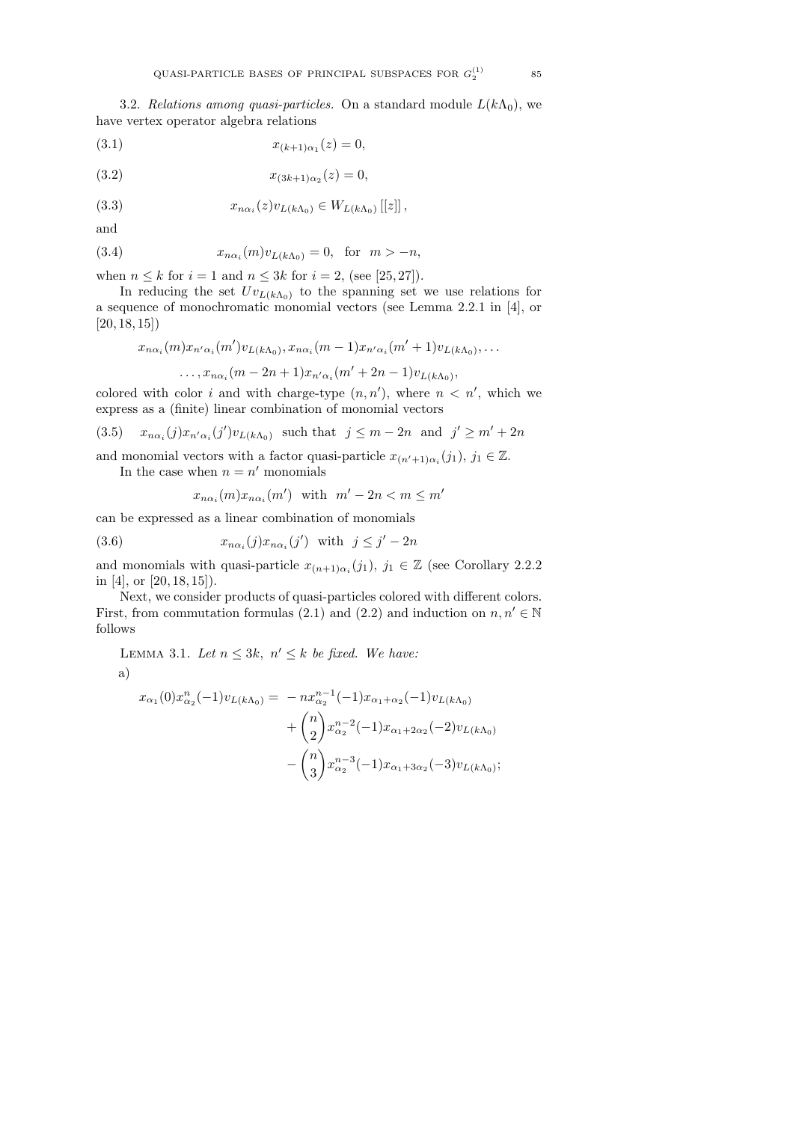3.2. Relations among quasi-particles. On a standard module  $L(k\Lambda_0)$ , we have vertex operator algebra relations

(3.1) 
$$
x_{(k+1)\alpha_1}(z) = 0,
$$

(3.2) 
$$
x_{(3k+1)\alpha_2}(z) = 0,
$$

(3.3)  $x_{n\alpha_i}(z)v_{L(k\Lambda_0)} \in W_{L(k\Lambda_0)}[[z]]$ ,

and

(3.4) 
$$
x_{n\alpha_i}(m)v_{L(k\Lambda_0)} = 0, \text{ for } m > -n,
$$

when  $n \leq k$  for  $i = 1$  and  $n \leq 3k$  for  $i = 2$ , (see [25, 27]).

In reducing the set  $Uv_{L(k\Lambda_0)}$  to the spanning set we use relations for a sequence of monochromatic monomial vectors (see Lemma 2.2.1 in [4], or  $[20, 18, 15]$ 

$$
x_{n\alpha_i}(m)x_{n'\alpha_i}(m')v_{L(k\Lambda_0)}, x_{n\alpha_i}(m-1)x_{n'\alpha_i}(m'+1)v_{L(k\Lambda_0)},\ldots
$$

$$
\ldots, x_{n\alpha_i}(m-2n+1)x_{n'\alpha_i}(m'+2n-1)v_{L(k\Lambda_0)},
$$

colored with color i and with charge-type  $(n, n')$ , where  $n < n'$ , which we express as a (finite) linear combination of monomial vectors

(3.5) 
$$
x_{n\alpha_i}(j)x_{n'\alpha_i}(j')v_{L(k\Lambda_0)}
$$
 such that  $j \leq m-2n$  and  $j' \geq m'+2n$ 

and monomial vectors with a factor quasi-particle  $x_{(n'+1)\alpha_i}(j_1), j_1 \in \mathbb{Z}$ .

In the case when  $n = n'$  monomials

$$
x_{n\alpha_i}(m)x_{n\alpha_i}(m')
$$
 with  $m'-2n < m \leq m'$ 

can be expressed as a linear combination of monomials

(3.6) 
$$
x_{n\alpha_i}(j)x_{n\alpha_i}(j') \text{ with } j \leq j'-2n
$$

and monomials with quasi-particle  $x_{(n+1)\alpha_i}(j_1), j_1 \in \mathbb{Z}$  (see Corollary 2.2.2) in [4], or [20, 18, 15]).

Next, we consider products of quasi-particles colored with different colors. First, from commutation formulas (2.1) and (2.2) and induction on  $n, n' \in \mathbb{N}$ follows

LEMMA 3.1. Let  $n \leq 3k$ ,  $n' \leq k$  be fixed. We have:

$$
\rm a)
$$

$$
x_{\alpha_1}(0)x_{\alpha_2}^n(-1)v_{L(k\Lambda_0)} = -nx_{\alpha_2}^{n-1}(-1)x_{\alpha_1+\alpha_2}(-1)v_{L(k\Lambda_0)}
$$
  
+  $\binom{n}{2}x_{\alpha_2}^{n-2}(-1)x_{\alpha_1+2\alpha_2}(-2)v_{L(k\Lambda_0)}$   
-  $\binom{n}{3}x_{\alpha_2}^{n-3}(-1)x_{\alpha_1+3\alpha_2}(-3)v_{L(k\Lambda_0)};$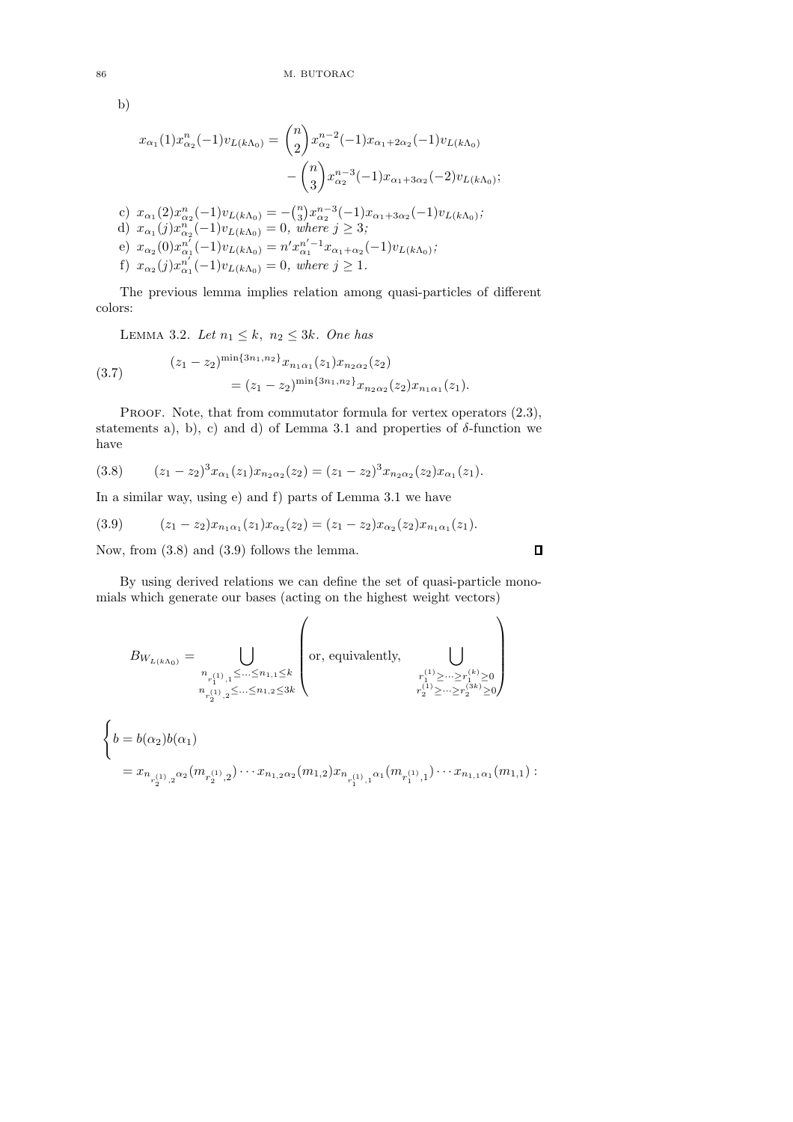b)

$$
x_{\alpha_1}(1)x_{\alpha_2}^n(-1)v_{L(k\Lambda_0)} = {n \choose 2} x_{\alpha_2}^{n-2}(-1)x_{\alpha_1+2\alpha_2}(-1)v_{L(k\Lambda_0)}
$$
  

$$
- {n \choose 3} x_{\alpha_2}^{n-3}(-1)x_{\alpha_1+3\alpha_2}(-2)v_{L(k\Lambda_0)};
$$
  
c)  $x_{\alpha_1}(2)x_{\alpha_2}^n(-1)v_{L(k\Lambda_0)} = -{n \choose 3} x_{\alpha_2}^{n-3}(-1)x_{\alpha_1+3\alpha_2}(-1)v_{L(k\Lambda_0)};$   
d)  $x_{\alpha_1}(j)x_{\alpha_2}^n(-1)v_{L(k\Lambda_0)} = 0$ , where  $j \ge 3$ ;  
e)  $x_{\alpha_2}(0)x_{\alpha_1}^{n'}(-1)v_{L(k\Lambda_0)} = n'x_{\alpha_1}^{n'-1}x_{\alpha_1+\alpha_2}(-1)v_{L(k\Lambda_0)};$   
f)  $x_{\alpha_2}(j)x_{\alpha_1}^{n'}(-1)v_{L(k\Lambda_0)} = 0$ , where  $j \ge 1$ .

The previous lemma implies relation among quasi-particles of different colors:

LEMMA 3.2. Let  $n_1 \leq k$ ,  $n_2 \leq 3k$ . One has

(3.7) 
$$
(z_1 - z_2)^{\min\{3n_1, n_2\}} x_{n_1\alpha_1}(z_1) x_{n_2\alpha_2}(z_2)
$$

$$
= (z_1 - z_2)^{\min\{3n_1, n_2\}} x_{n_2\alpha_2}(z_2) x_{n_1\alpha_1}(z_1).
$$

PROOF. Note, that from commutator formula for vertex operators  $(2.3)$ , statements a), b), c) and d) of Lemma 3.1 and properties of  $\delta$ -function we have

$$
(3.8) \qquad (z_1 - z_2)^3 x_{\alpha_1}(z_1) x_{n_2 \alpha_2}(z_2) = (z_1 - z_2)^3 x_{n_2 \alpha_2}(z_2) x_{\alpha_1}(z_1).
$$

In a similar way, using e) and f) parts of Lemma 3.1 we have

(3.9) 
$$
(z_1 - z_2)x_{n_1\alpha_1}(z_1)x_{\alpha_2}(z_2) = (z_1 - z_2)x_{\alpha_2}(z_2)x_{n_1\alpha_1}(z_1).
$$

Now, from (3.8) and (3.9) follows the lemma.

By using derived relations we can define the set of quasi-particle monomials which generate our bases (acting on the highest weight vectors)

$$
\begin{split} B_{W_{L(k\Lambda_0)}} &= \bigcup_{\substack{n_{r^{(1)}_1,1}\leq \ldots \leq n_{1,1}\leq k \\ n_{r^{(1)}_2,2}\leq \ldots \leq n_{1,2}\leq 3k}} \left( \text{or, equivalently, } \bigcup_{\substack{r^{(1)}_1\geq \ldots \geq r^{(k)}_1\geq 0 \\ r^{(1)}_2\geq \ldots \geq r^{(3k)}_2\geq 0}} \right)\\ &\left\{ b = b(\alpha_2)b(\alpha_1) \right.\\ &= x_{n_{r^{(1)}_2,2}\alpha_2}(m_{r^{(1)}_2,2})\cdots x_{n_{1,2}\alpha_2}(m_{1,2})x_{n_{r^{(1)}_1,1}\alpha_1}(m_{r^{(1)}_1,1})\cdots x_{n_{1,1}\alpha_1}(m_{1,1}) : \end{split}
$$

 $\Box$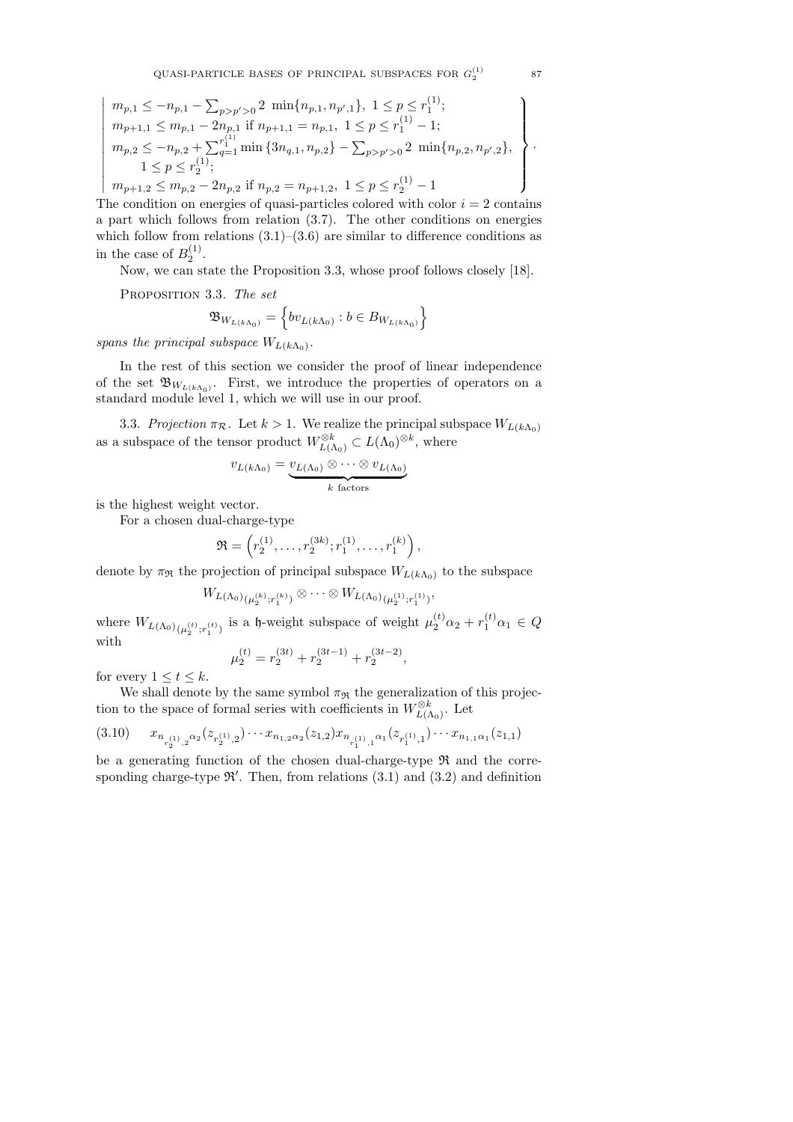$$
m_{p,1} \leq -n_{p,1} - \sum_{p>p' > 0} 2 \min\{n_{p,1}, n_{p',1}\}, \ 1 \leq p \leq r_1^{(1)}; \n m_{p+1,1} \leq m_{p,1} - 2n_{p,1} \text{ if } n_{p+1,1} = n_{p,1}, \ 1 \leq p \leq r_1^{(1)} - 1; \n m_{p,2} \leq -n_{p,2} + \sum_{q=1}^{r_1^{(1)}} \min\{3n_{q,1}, n_{p,2}\} - \sum_{p>p' > 0} 2 \min\{n_{p,2}, n_{p',2}\}, \n 1 \leq p \leq r_2^{(1)}; \n m_{p+1,2} \leq m_{p,2} - 2n_{p,2} \text{ if } n_{p,2} = n_{p+1,2}, \ 1 \leq p \leq r_2^{(1)} - 1
$$

 $\overline{\phantom{a}}$ J The condition on energies of quasi-particles colored with color  $i = 2$  contains a part which follows from relation (3.7). The other conditions on energies which follow from relations  $(3.1)$ – $(3.6)$  are similar to difference conditions as in the case of  $B_2^{(1)}$ .

Now, we can state the Proposition 3.3, whose proof follows closely [18].

PROPOSITION 3.3. The set

 $\begin{array}{c} \hline \end{array}$  $\overline{\phantom{a}}$  $\overline{\phantom{a}}$  $\overline{\phantom{a}}$  $\overline{\phantom{a}}$  $\overline{\phantom{a}}$  $\overline{\phantom{a}}$  $\overline{\phantom{a}}$  $\overline{\phantom{a}}$  $\overline{\phantom{a}}$  $\overline{\phantom{a}}$ 

$$
\mathfrak{B}_{W_{L(k\Lambda_{0})}} = \left\{ b v_{L(k\Lambda_{0})} : b \in B_{W_{L(k\Lambda_{0})}} \right\}
$$

spans the principal subspace  $W_{L(k\Lambda_0)}$ .

In the rest of this section we consider the proof of linear independence of the set  $\mathfrak{B}_{W_{L(k\Lambda_0)}}$ . First, we introduce the properties of operators on a standard module level 1, which we will use in our proof.

3.3. Projection  $\pi_{\mathcal{R}}$ . Let  $k > 1$ . We realize the principal subspace  $W_{L(k\Lambda_0)}$ as a subspace of the tensor product  $W_{L(\Lambda_0)}^{\otimes k} \subset L(\Lambda_0)^{\otimes k}$ , where

$$
v_{L(k\Lambda_0)} = \underbrace{v_{L(\Lambda_0)} \otimes \cdots \otimes v_{L(\Lambda_0)}}_{k \text{ factors}}
$$

is the highest weight vector.

For a chosen dual-charge-type

$$
\mathfrak{R} = \left( r_2^{(1)}, \ldots, r_2^{(3k)}; r_1^{(1)}, \ldots, r_1^{(k)} \right),
$$

denote by  $\pi_{\mathfrak{R}}$  the projection of principal subspace  $W_{L(k\Lambda_0)}$  to the subspace

$$
W_{L(\Lambda_0)}(L_{2}^{(k)};r_1^{(k)})} \otimes \cdots \otimes W_{L(\Lambda_0)}(L_{2}^{(1)};r_1^{(1)})},
$$

where  $W_{L(\Lambda_0)}_{(\mu_2^{(t)},r_1^{(t)})}$  is a h-weight subspace of weight  $\mu_2^{(t)}\alpha_2 + r_1^{(t)}\alpha_1 \in Q$ with

$$
\mu_2^{(t)} = r_2^{(3t)} + r_2^{(3t-1)} + r_2^{(3t-2)},
$$

for every  $1 \le t \le k$ .

We shall denote by the same symbol  $\pi_{\Re}$  the generalization of this projection to the space of formal series with coefficients in  $W^{\otimes k}_{L(\Lambda_0)}$ . Let

$$
(3.10) \qquad x_{n_{r_2^{(1)},2}\alpha_2}(z_{r_2^{(1)},2})\cdots x_{n_{1,2}\alpha_2}(z_{1,2})x_{n_{r_1^{(1)},1}\alpha_1}(z_{r_1^{(1)},1})\cdots x_{n_{1,1}\alpha_1}(z_{1,1})
$$

be a generating function of the chosen dual-charge-type  $\Re$  and the corresponding charge-type  $\mathfrak{R}'$ . Then, from relations  $(3.1)$  and  $(3.2)$  and definition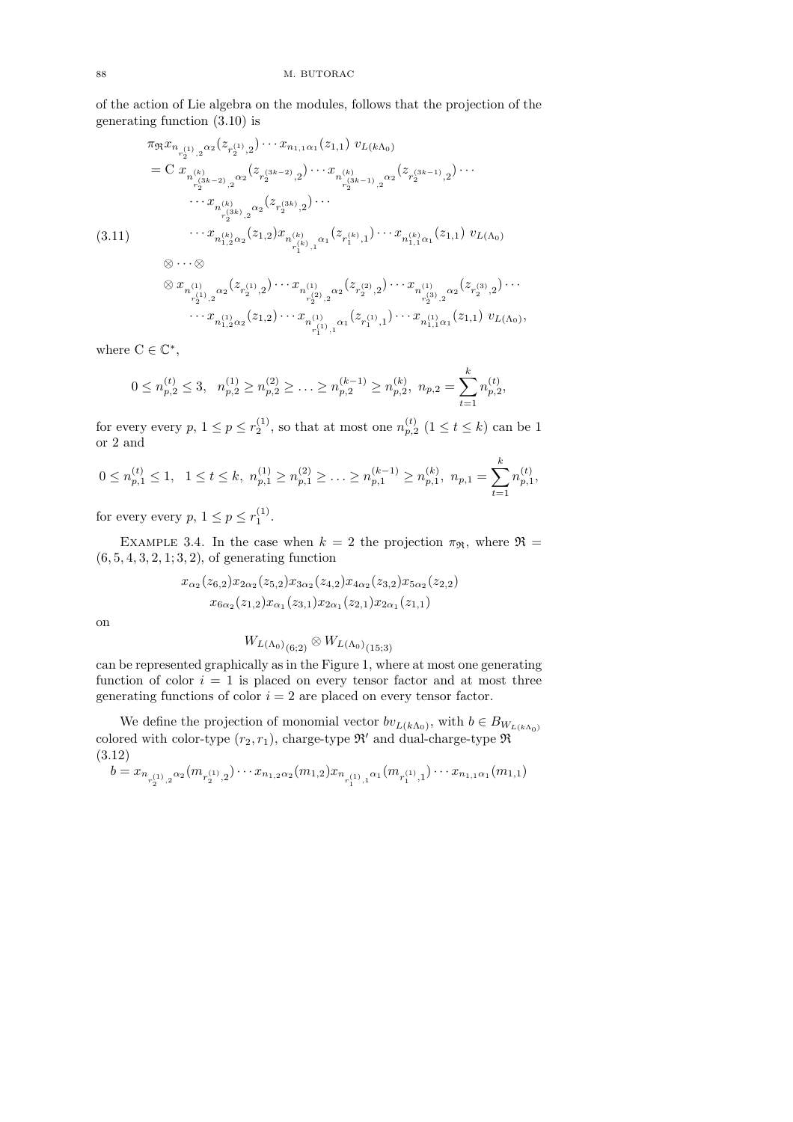of the action of Lie algebra on the modules, follows that the projection of the generating function (3.10) is

$$
\pi_{\mathfrak{R}} x_{n_{r_{2}^{(1)},2}^{(1)},2} \cdots x_{n_{1,1}\alpha_{1}}(z_{1,1}) v_{L(k\Lambda_{0})}
$$
\n
$$
= C x_{n_{r_{2}^{(3k-2)},2}^{(k)}} \cdots x_{n_{r_{2}^{(3k-2)},2}^{(k)}} \cdots x_{n_{r_{2}^{(3k-1)},2}^{(k)}} \cdots x_{n_{r_{2}^{(3k)},2}^{(k)}}(z_{r_{2}^{(3k-1)},2}^{(3k-1)},2}) \cdots
$$
\n
$$
\cdots x_{n_{r_{2}^{(3k)},2}^{(k)}}(z_{r_{2}^{(3k)},2}) \cdots
$$
\n
$$
(3.11)
$$
\n
$$
\cdots x_{n_{1,2}^{(k)}\alpha_{2}}(z_{1,2}) x_{n_{r_{1}^{(k)},1}^{(k)}}(z_{r_{1}^{(k)},1}) \cdots x_{n_{1,1}^{(k)}\alpha_{1}}(z_{1,1}) v_{L(\Lambda_{0})}
$$
\n
$$
\otimes \cdots \otimes
$$
\n
$$
\otimes x_{n_{r_{2}^{(1)},2}^{(1)}} \alpha_{2}(z_{r_{2}^{(1)},2}) \cdots x_{n_{r_{2}^{(2)},2}^{(1)}}(z_{r_{2}^{(2)},2}) \cdots x_{n_{r_{2}^{(3)},2}^{(1)}}(z_{r_{2}^{(3)},2}) \cdots
$$
\n
$$
\cdots x_{n_{1,2}^{(1)}\alpha_{2}}(z_{1,2}) \cdots x_{n_{r_{1}^{(1)},1}^{(1)}}(z_{1,1}) \cdots x_{n_{1,1}^{(1)}\alpha_{1}}(z_{1,1}) v_{L(\Lambda_{0})},
$$

where  $C \in \mathbb{C}^*$ ,

$$
0 \le n_{p,2}^{(t)} \le 3, \quad n_{p,2}^{(1)} \ge n_{p,2}^{(2)} \ge \ldots \ge n_{p,2}^{(k-1)} \ge n_{p,2}^{(k)}, \quad n_{p,2} = \sum_{t=1}^{k} n_{p,2}^{(t)},
$$

,

for every every  $p, 1 \le p \le r_2^{(1)}$ , so that at most one  $n_{p,2}^{(t)}$   $(1 \le t \le k)$  can be 1 or 2 and

$$
0 \le n_{p,1}^{(t)} \le 1, \quad 1 \le t \le k, \quad n_{p,1}^{(1)} \ge n_{p,1}^{(2)} \ge \ldots \ge n_{p,1}^{(k-1)} \ge n_{p,1}^{(k)}, \quad n_{p,1} = \sum_{t=1}^{k} n_{p,1}^{(t)},
$$

for every every  $p, 1 \leq p \leq r_1^{(1)}$ .

EXAMPLE 3.4. In the case when  $k = 2$  the projection  $\pi_{\mathfrak{R}}$ , where  $\mathfrak{R} =$  $(6, 5, 4, 3, 2, 1; 3, 2)$ , of generating function

$$
x_{\alpha_2}(z_{6,2})x_{2\alpha_2}(z_{5,2})x_{3\alpha_2}(z_{4,2})x_{4\alpha_2}(z_{3,2})x_{5\alpha_2}(z_{2,2})
$$
  

$$
x_{6\alpha_2}(z_{1,2})x_{\alpha_1}(z_{3,1})x_{2\alpha_1}(z_{2,1})x_{2\alpha_1}(z_{1,1})
$$

on

$$
W_{L(\Lambda_0)_{(6;2)}} \otimes W_{L(\Lambda_0)_{(15;3)}}
$$

can be represented graphically as in the Figure 1, where at most one generating function of color  $i = 1$  is placed on every tensor factor and at most three generating functions of color  $i = 2$  are placed on every tensor factor.

We define the projection of monomial vector  $bv_{L(k\Lambda_0)}$ , with  $b \in B_{W_{L(k\Lambda_0)}}$ colored with color-type  $(r_2, r_1)$ , charge-type  $\mathfrak{R}'$  and dual-charge-type  $\mathfrak{R}$ (3.12)

 $b = x_{n_{r_2^{(1)},2}\alpha_2}(m_{r_2^{(1)},2})\cdots x_{n_{1,2}\alpha_2}(m_{1,2})x_{n_{r_1^{(1)},1}\alpha_1}(m_{r_1^{(1)},1})\cdots x_{n_{1,1}\alpha_1}(m_{1,1})$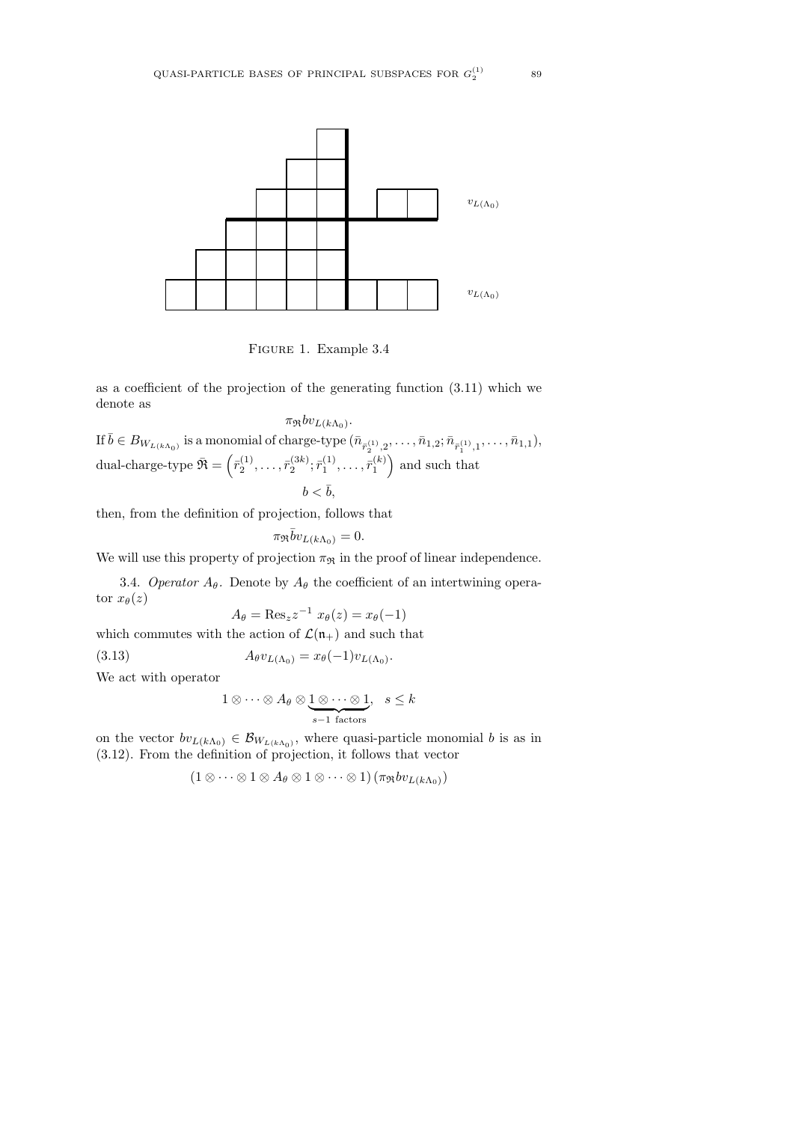

Figure 1. Example 3.4

as a coefficient of the projection of the generating function (3.11) which we denote as

 $\pi_{\mathfrak{R}}bv_{L(k\Lambda_{0})}.$ If  $\bar{b} \in B_{W_{L(k\Lambda_0)}}$  is a monomial of charge-type  $(\bar{n}_{\bar{r}_2^{(1)},2},\ldots,\bar{n}_{1,2};\bar{n}_{\bar{r}_1^{(1)},1},\ldots,\bar{n}_{1,1}),$ dual-charge-type  $\bar{\mathfrak{R}} = \left( \bar{r}_2^{(1)}, \ldots, \bar{r}_2^{(3k)}; \bar{r}_1^{(1)}, \ldots, \bar{r}_1^{(k)} \right)$  and such that  $b < \overline{b}$ .

then, from the definition of projection, follows that

 $\pi_{\Re} \bar{b} v_{L(k\Lambda_0)} = 0.$ 

We will use this property of projection  $\pi_\Re$  in the proof of linear independence.

3.4. Operator  $A_{\theta}$ . Denote by  $A_{\theta}$  the coefficient of an intertwining operator  $x_{\theta}(z)$ 

$$
A_{\theta} = \text{Res}_{z} z^{-1} x_{\theta}(z) = x_{\theta}(-1)
$$

which commutes with the action of  $\mathcal{L}(\mathfrak{n}_+)$  and such that

(3.13) 
$$
A_{\theta}v_{L(\Lambda_0)} = x_{\theta}(-1)v_{L(\Lambda_0)}.
$$

We act with operator

$$
1 \otimes \cdots \otimes A_{\theta} \otimes \underbrace{1 \otimes \cdots \otimes 1}_{s-1 \text{ factors}}, s \leq k
$$

on the vector  $bv_{L(k\Lambda_0)} \in \mathcal{B}_{W_{L(k\Lambda_0)}},$  where quasi-particle monomial b is as in (3.12). From the definition of projection, it follows that vector

 $(1 \otimes \cdots \otimes 1 \otimes A_{\theta} \otimes 1 \otimes \cdots \otimes 1) (\pi_{\mathfrak{R}}bv_{L(k\Lambda_0)})$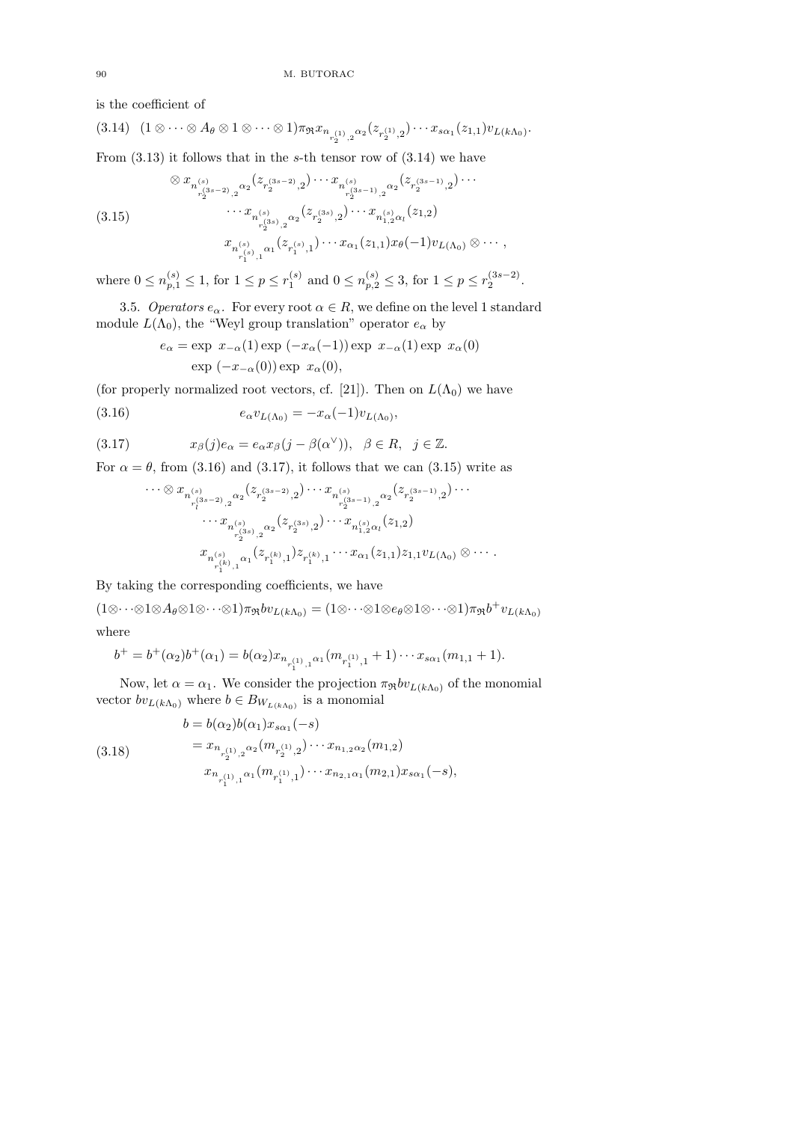is the coefficient of

$$
(3.14) (1 \otimes \cdots \otimes A_{\theta} \otimes 1 \otimes \cdots \otimes 1) \pi_{\mathfrak{R}} x_{n_{r_2^{(1)},2} \alpha_2}(z_{r_2^{(1)},2}) \cdots x_{s \alpha_1}(z_{1,1}) v_{L(k\Lambda_0)}.
$$

From  $(3.13)$  it follows that in the s-th tensor row of  $(3.14)$  we have

$$
(3.15)
$$
\n
$$
\begin{array}{c}\n\otimes x_{n_{r_2^{(3s-2)},2}^{(s_1^{(3s-2)},2)}}(z_{r_2^{(3s-2)},2})\cdots x_{n_{r_2^{(3s-1)},2}^{(s_1^{(3s-1)},2}}(z_{r_2^{(3s-1)},2})\cdots \\
\cdots x_{n_{r_2^{(3s)},2}^{(s_1^{(3s)},2)}}(z_{r_2^{(3s)},2})\cdots x_{n_{1,2}^{(s)}\alpha_l}(z_{1,2}) \\
x_{n_{r_1^{(s)},1}^{(s_1^{(3)},1)}}(z_{r_1^{(s)},1})\cdots x_{\alpha_1}(z_{1,1})x_{\theta}(-1)v_{L(\Lambda_0)}\otimes\cdots,\n\end{array}
$$

where  $0 \le n_{p,1}^{(s)} \le 1$ , for  $1 \le p \le r_1^{(s)}$  and  $0 \le n_{p,2}^{(s)} \le 3$ , for  $1 \le p \le r_2^{(3s-2)}$ .

3.5. Operators  $e_{\alpha}$ . For every root  $\alpha \in R$ , we define on the level 1 standard module  $L(\Lambda_0)$ , the "Weyl group translation" operator  $e_\alpha$  by

$$
e_{\alpha} = \exp x_{-\alpha}(1) \exp (-x_{\alpha}(-1)) \exp x_{-\alpha}(1) \exp x_{\alpha}(0)
$$
  
 
$$
\exp (-x_{-\alpha}(0)) \exp x_{\alpha}(0),
$$

(for properly normalized root vectors, cf. [21]). Then on  $L(\Lambda_0)$  we have

(3.16) 
$$
e_{\alpha}v_{L(\Lambda_0)} = -x_{\alpha}(-1)v_{L(\Lambda_0)},
$$

(3.17) 
$$
x_{\beta}(j)e_{\alpha} = e_{\alpha}x_{\beta}(j - \beta(\alpha^{\vee})), \ \ \beta \in R, \ \ j \in \mathbb{Z}.
$$

For  $\alpha = \theta$ , from (3.16) and (3.17), it follows that we can (3.15) write as

$$
\cdots \otimes x_{n^{(s)}_{r^{(3s-2)}_{l},2}\alpha_{2}}(z_{r^{(3s-2)}_{2},2})\cdots x_{n^{(s)}_{r^{(3s-1)}_{2},2}\alpha_{2}}(z_{r^{(3s-1)}_{2},2})\cdots \cdots x_{n^{(s)}_{r^{(3s)}_{2},2}\alpha_{2}}(z_{r^{(3s)}_{2},2})\cdots x_{n^{(s)}_{1,2}\alpha_{l}}(z_{1,2})
$$
\n
$$
x_{n^{(s)}_{r^{(k)}_{1},1}\alpha_{1}}(z_{r^{(k)}_{1},1})z_{r^{(k)}_{1},1}\cdots x_{\alpha_{1}}(z_{1,1})z_{1,1}v_{L(\Lambda_{0})}\otimes \cdots.
$$

By taking the corresponding coefficients, we have

 $(1\otimes \cdots \otimes 1\otimes A_{\theta}\otimes 1\otimes \cdots \otimes 1)\pi_{\mathfrak{R}}bv_{L(k\Lambda_0)}=(1\otimes \cdots \otimes 1\otimes e_{\theta}\otimes 1\otimes \cdots \otimes 1)\pi_{\mathfrak{R}}b^+v_{L(k\Lambda_0)}$ where

$$
b^{+} = b^{+}(\alpha_{2})b^{+}(\alpha_{1}) = b(\alpha_{2})x_{n_{r_{1}^{(1)},1}\alpha_{1}}(m_{r_{1}^{(1)},1}+1)\cdots x_{s\alpha_{1}}(m_{1,1}+1).
$$

Now, let  $\alpha = \alpha_1$ . We consider the projection  $\pi_{\Re}bv_{L(k\Lambda_0)}$  of the monomial vector  $bv_{L(k\Lambda_0)}$  where  $b \in B_{W_{L(k\Lambda_0)}}$  is a monomial

(3.18)  
\n
$$
b = b(\alpha_2)b(\alpha_1)x_{s\alpha_1}(-s)
$$
\n
$$
= x_{n_{r_2^{(1)},2}\alpha_2}(m_{r_2^{(1)},2})\cdots x_{n_{1,2}\alpha_2}(m_{1,2})
$$
\n
$$
x_{n_{r_1^{(1)},1}\alpha_1}(m_{r_1^{(1)},1})\cdots x_{n_{2,1}\alpha_1}(m_{2,1})x_{s\alpha_1}(-s),
$$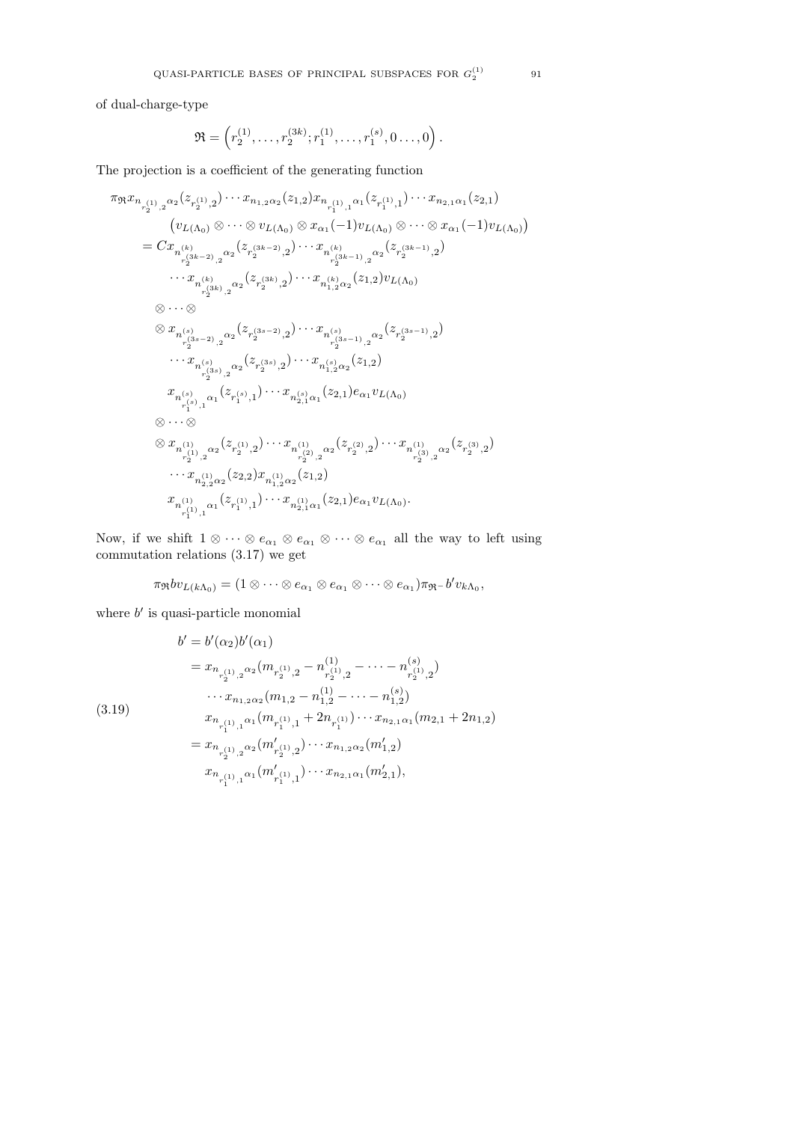of dual-charge-type

$$
\mathfrak{R} = \left( r_2^{(1)}, \ldots, r_2^{(3k)}; r_1^{(1)}, \ldots, r_1^{(s)}, 0 \ldots, 0 \right).
$$

The projection is a coefficient of the generating function

$$
\pi_{\mathfrak{R}} x_{n_{r_{2}^{(1)},2}^{(1)} \alpha_{2}}(z_{r_{2}^{(1)},2}) \cdots x_{n_{1,2} \alpha_{2}}(z_{1,2}) x_{n_{r_{1}^{(1)},1}^{(1)} \alpha_{1}}(z_{r_{1}^{(1)},1}) \cdots x_{n_{2,1} \alpha_{1}}(z_{2,1})
$$
\n
$$
(v_{L(\Lambda_{0})} \otimes \cdots \otimes v_{L(\Lambda_{0})} \otimes x_{\alpha_{1}}(-1)v_{L(\Lambda_{0})} \otimes \cdots \otimes x_{\alpha_{1}}(-1)v_{L(\Lambda_{0})})
$$
\n
$$
= C x_{n_{r_{2}^{(3k-2)},2}^{(k)}} \alpha_{2}(z_{r_{2}^{(3k-2)},2}) \cdots x_{n_{r_{2}^{(3k-1)},2}^{(k)}} \alpha_{2}(z_{r_{2}^{(3k-1)},2})
$$
\n
$$
\cdots x_{n_{r_{2}^{(3k)},2}^{(3k)}} \alpha_{2}(z_{r_{2}^{(3k)},2}) \cdots x_{n_{1,2}^{(k)} \alpha_{2}}(z_{1,2}) v_{L(\Lambda_{0})}
$$
\n
$$
\otimes \cdots \otimes
$$
\n
$$
x_{n_{r_{2}^{(3s-2)},2}^{(s)}} \alpha_{2}(z_{r_{2}^{(3s-2)},2}) \cdots x_{n_{r_{2}^{(3s-1)},2}^{(s)}} \alpha_{2}(z_{r_{2}^{(3s-1)},2})
$$
\n
$$
\cdots x_{n_{r_{2}^{(s)},2}^{(s)}} \alpha_{2}(z_{r_{2}^{(3s)},2}) \cdots x_{n_{r_{2}^{(s)},2}^{(s)}} \alpha_{2}(z_{r_{2}^{(3s-1)},2})
$$
\n
$$
x_{n_{r_{2}^{(s)},2}^{(s)}} \alpha_{2}(z_{r_{2}^{(3s)},2}) \cdots x_{n_{r_{2}^{(s)},2}^{(s)}} \alpha_{2}(z_{1,2})
$$
\n
$$
x_{n_{r_{1}^{(s)},1}^{(s)}} \alpha_{1}(z_{r_{1}^{(s)},1}) \cdots x_{n_{r_{2}^{(s)},2}^{(s)}} \alpha_{2}(z_{r_{2}^{(2)},2}) \cd
$$

Now, if we shift  $1 \otimes \cdots \otimes e_{\alpha_1} \otimes e_{\alpha_1} \otimes \cdots \otimes e_{\alpha_n}$  all the way to left using commutation relations (3.17) we get

$$
\pi_{\mathfrak{R}}bv_{L(k\Lambda_0)}=(1\otimes\cdots\otimes e_{\alpha_1}\otimes e_{\alpha_1}\otimes\cdots\otimes e_{\alpha_1})\pi_{\mathfrak{R}}-b'v_{k\Lambda_0},
$$

where  $b'$  is quasi-particle monomial

$$
b' = b'(\alpha_2) b'(\alpha_1)
$$
  
=  $x_{n_{r_2^{(1)},2} \alpha_2} (m_{r_2^{(1)},2} - n_{r_2^{(1)},2}^{(1)} - \cdots - n_{r_2^{(1)},2}^{(s)})$   
 $\cdots x_{n_{1,2}\alpha_2} (m_{1,2} - n_{1,2}^{(1)} - \cdots - n_{1,2}^{(s)})$   
 $x_{n_{r_1^{(1)},1} \alpha_1} (m_{r_1^{(1)},1} + 2n_{r_1^{(1)}}) \cdots x_{n_{2,1}\alpha_1} (m_{2,1} + 2n_{1,2})$   
=  $x_{n_{r_2^{(1)},2} \alpha_2} (m'_{r_2^{(1)},2}) \cdots x_{n_{1,2}\alpha_2} (m'_{1,2})$   
 $x_{n_{r_1^{(1)},1} \alpha_1} (m'_{r_1^{(1)},1}) \cdots x_{n_{2,1}\alpha_1} (m'_{2,1}),$ 

(3.19)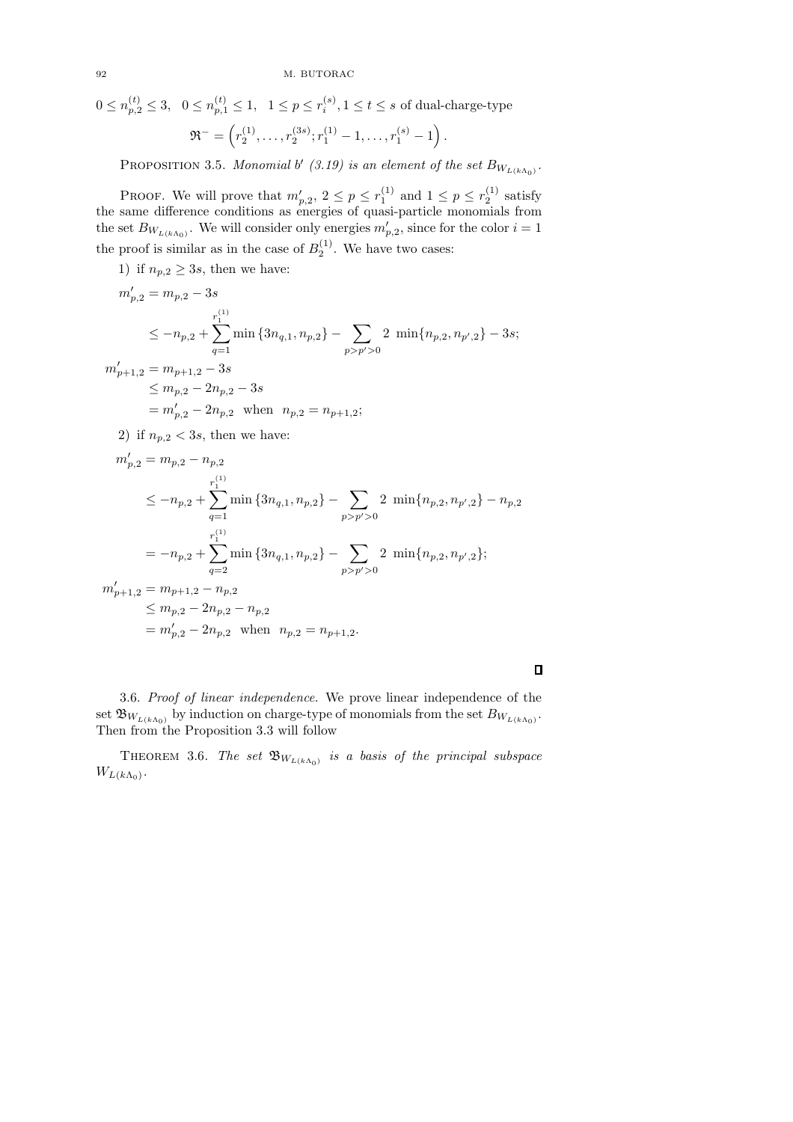$$
0 \le n_{p,2}^{(t)} \le 3, \quad 0 \le n_{p,1}^{(t)} \le 1, \quad 1 \le p \le r_i^{(s)}, 1 \le t \le s \text{ of dual-charge-type}
$$

$$
\mathfrak{R}^- = \left(r_2^{(1)}, \dots, r_2^{(3s)}; r_1^{(1)} - 1, \dots, r_1^{(s)} - 1\right).
$$

PROPOSITION 3.5. Monomial b' (3.19) is an element of the set  $B_{W_{L(k\Lambda_0)}}$ .

PROOF. We will prove that  $m'_{p,2}$ ,  $2 \le p \le r_1^{(1)}$  and  $1 \le p \le r_2^{(1)}$  satisfy the same difference conditions as energies of quasi-particle monomials from the set  $B_{W_{L(k\Lambda_0)}}$ . We will consider only energies  $m'_{p,2}$ , since for the color  $i=1$ the proof is similar as in the case of  $B_2^{(1)}$ . We have two cases:

1) if  $n_{p,2} \geq 3s$ , then we have:

$$
m'_{p,2} = m_{p,2} - 3s
$$
  
\n
$$
\leq -n_{p,2} + \sum_{q=1}^{r_1^{(1)}} \min\{3n_{q,1}, n_{p,2}\} - \sum_{p > p' > 0} 2 \min\{n_{p,2}, n_{p',2}\} - 3s;
$$
  
\n
$$
m'_{p+1,2} = m_{p+1,2} - 3s
$$
  
\n
$$
\leq m_{p,2} - 2n_{p,2} - 3s
$$
  
\n
$$
= m'_{p,2} - 2n_{p,2} \text{ when } n_{p,2} = n_{p+1,2};
$$
  
\n2) if  $n_{p,2} < 3s$ , then we have:

$$
m'_{p,2} = m_{p,2} - n_{p,2}
$$
  
\n
$$
\leq -n_{p,2} + \sum_{q=1}^{r_1^{(1)}} \min \{3n_{q,1}, n_{p,2}\} - \sum_{p > p' > 0} 2 \min \{n_{p,2}, n_{p',2}\} - n_{p,2}
$$
  
\n
$$
= -n_{p,2} + \sum_{q=2}^{r_1^{(1)}} \min \{3n_{q,1}, n_{p,2}\} - \sum_{p > p' > 0} 2 \min \{n_{p,2}, n_{p',2}\};
$$
  
\n
$$
m'_{p+1,2} = m_{p+1,2} - n_{p,2}
$$
  
\n
$$
\leq m_{p,2} - 2n_{p,2} - n_{p,2}
$$
  
\n
$$
= m'_{p,2} - 2n_{p,2} \text{ when } n_{p,2} = n_{p+1,2}.
$$

 $\Box$ 

3.6. Proof of linear independence. We prove linear independence of the set  $\mathfrak{B}_{W_{L(k\Lambda_{0})}}$  by induction on charge-type of monomials from the set  $B_{W_{L(k\Lambda_{0})}}$ . Then from the Proposition 3.3 will follow

THEOREM 3.6. The set  $\mathfrak{B}_{W_{L(k\Lambda_0)}}$  is a basis of the principal subspace  $W_{L(k\Lambda_0)}$ .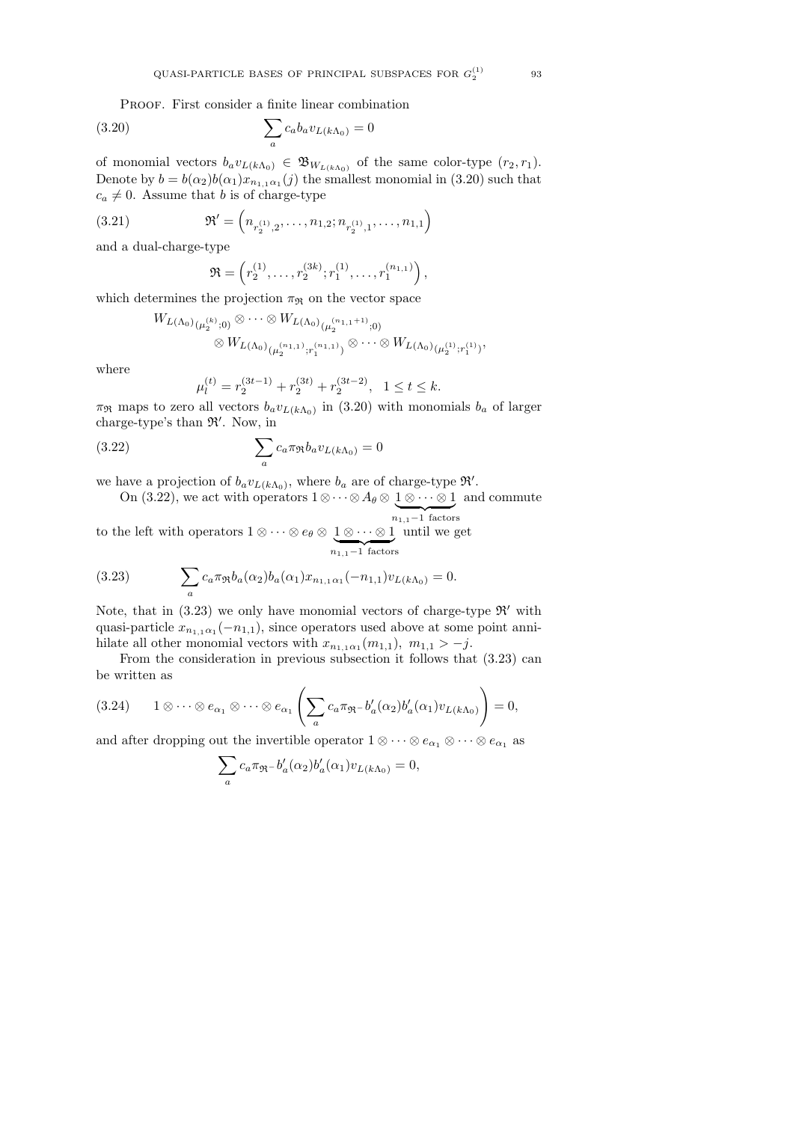PROOF. First consider a finite linear combination

(3.20) 
$$
\sum_{a} c_a b_a v_{L(k\Lambda_0)} = 0
$$

of monomial vectors  $b_a v_{L(k\Lambda_0)} \in \mathfrak{B}_{W_{L(k\Lambda_0)}}$  of the same color-type  $(r_2, r_1)$ . Denote by  $b = b(\alpha_2)b(\alpha_1)x_{n_1,\alpha_1}(j)$  the smallest monomial in (3.20) such that  $c_a \neq 0$ . Assume that b is of charge-type

(3.21) 
$$
\mathfrak{R}' = \left( n_{r_2^{(1)},2}, \ldots, n_{1,2}; n_{r_2^{(1)},1}, \ldots, n_{1,1} \right)
$$

and a dual-charge-type

$$
\mathfrak{R} = \left( r_2^{(1)}, \ldots, r_2^{(3k)}; r_1^{(1)}, \ldots, r_1^{(n_{1,1})} \right),
$$

which determines the projection  $\pi_{\Re}$  on the vector space

$$
W_{L(\Lambda_0)}(\mu_2^{(k)};0)} \otimes \cdots \otimes W_{L(\Lambda_0)}(\mu_2^{(n_{1,1}+1)};0)} \otimes W_{L(\Lambda_0)}(\mu_2^{(n_{1,1})};r_1^{(n_{1,1})})} \otimes \cdots \otimes W_{L(\Lambda_0)}(\mu_2^{(1)};r_1^{(1)})},
$$

where

$$
\mu_l^{(t)} = r_2^{(3t-1)} + r_2^{(3t)} + r_2^{(3t-2)}, \quad 1 \le t \le k.
$$

 $\pi_{\Re}$  maps to zero all vectors  $b_a v_{L(k\Lambda_0)}$  in (3.20) with monomials  $b_a$  of larger charge-type's than R′ . Now, in

(3.22) 
$$
\sum_{a} c_a \pi_{\Re} b_a v_{L(k\Lambda_0)} = 0
$$

we have a projection of  $b_a v_{L(k\Lambda_0)}$ , where  $b_a$  are of charge-type  $\mathfrak{R}'$ .

On (3.22), we act with operators 
$$
1 \otimes \cdots \otimes A_{\theta} \otimes \underbrace{1 \otimes \cdots \otimes 1}_{n_{1,1}-1}
$$
 and commute

to the left with operators  $1 \otimes \cdots \otimes e_{\theta} \otimes 1 \otimes \cdots \otimes 1$  $\overbrace{n_{1,1}-1}^{\text{r}}$  factors until we get

(3.23) 
$$
\sum_{a} c_a \pi_{\Re} b_a(\alpha_2) b_a(\alpha_1) x_{n_{1,1}\alpha_1}(-n_{1,1}) v_{L(k\Lambda_0)} = 0.
$$

Note, that in  $(3.23)$  we only have monomial vectors of charge-type  $\mathfrak{R}'$  with quasi-particle  $x_{n_1,1,\alpha_1}(-n_{1,1}),$  since operators used above at some point annihilate all other monomial vectors with  $x_{n_1,1,\alpha_1}(m_{1,1}), m_{1,1} > -j$ .

From the consideration in previous subsection it follows that (3.23) can be written as

$$
(3.24) \qquad 1\otimes\cdots\otimes e_{\alpha_1}\otimes\cdots\otimes e_{\alpha_1}\left(\sum_a c_a \pi_{\mathfrak{R}^-} b'_a(\alpha_2) b'_a(\alpha_1) v_{L(k\Lambda_0)}\right)=0,
$$

and after dropping out the invertible operator  $1 \otimes \cdots \otimes e_{\alpha_1} \otimes \cdots \otimes e_{\alpha_1}$  as

$$
\sum_{a} c_a \pi_{\mathfrak{R}^-} b'_a(\alpha_2) b'_a(\alpha_1) v_{L(k\Lambda_0)} = 0,
$$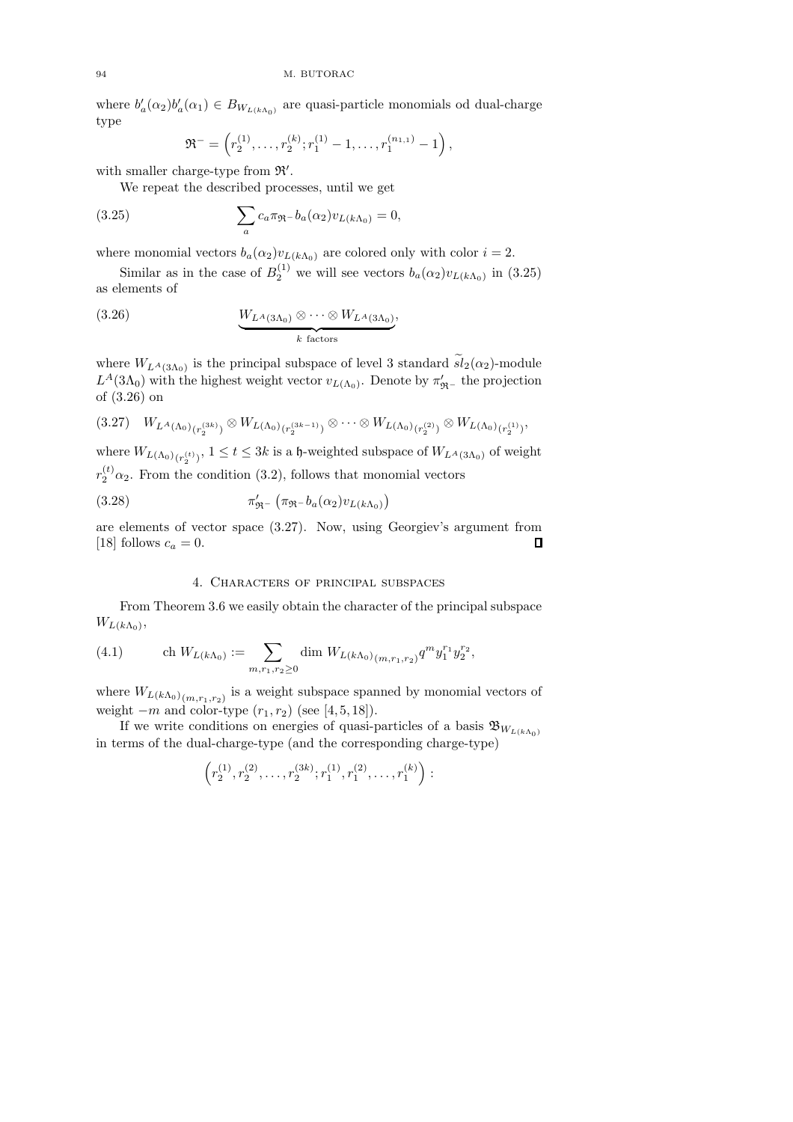where  $b'_a(\alpha_2)b'_a(\alpha_1) \in B_{W_{L(k\Lambda_0)}}$  are quasi-particle monomials od dual-charge type

$$
\mathfrak{R}^- = \left( r_2^{(1)}, \ldots, r_2^{(k)}; r_1^{(1)} - 1, \ldots, r_1^{(n_{1,1})} - 1 \right),
$$

with smaller charge-type from  $\mathfrak{R}'$ .

We repeat the described processes, until we get

(3.25) 
$$
\sum_{a} c_a \pi_{\Re} - b_a(\alpha_2) v_{L(k\Lambda_0)} = 0,
$$

where monomial vectors  $b_a(\alpha_2)v_{L(k\Lambda_0)}$  are colored only with color  $i = 2$ .

Similar as in the case of  $B_2^{(1)}$  we will see vectors  $b_a(\alpha_2)v_{L(k\Lambda_0)}$  in (3.25) as elements of

(3.26) 
$$
\underbrace{W_{L^A(3\Lambda_0)} \otimes \cdots \otimes W_{L^A(3\Lambda_0)}}_{k \text{ factors}},
$$

where  $W_{L^A(3\Lambda_0)}$  is the principal subspace of level 3 standard  $sl_2(\alpha_2)$ -module  $L^A(3\Lambda_0)$  with the highest weight vector  $v_{L(\Lambda_0)}$ . Denote by  $\pi'_{\mathfrak{R}^-}$  the projection of (3.26) on

$$
(3.27) W_{L^A(\Lambda_0)_{(r_2^{(3k)})}} \otimes W_{L(\Lambda_0)_{(r_2^{(3k-1)})}} \otimes \cdots \otimes W_{L(\Lambda_0)_{(r_2^{(2)})}} \otimes W_{L(\Lambda_0)_{(r_2^{(1)})}},
$$

where  $W_{L(\Lambda_0)_{(r_2^{(t)})}}, 1 \le t \le 3k$  is a h-weighted subspace of  $W_{L^A(3\Lambda_0)}$  of weight  $r_2^{(t)}\alpha_2$ . From the condition (3.2), follows that monomial vectors

(3.28) 
$$
\pi'_{\mathfrak{R}^-}\left(\pi_{\mathfrak{R}^-}b_a(\alpha_2)v_{L(k\Lambda_0)}\right)
$$

are elements of vector space (3.27). Now, using Georgiev's argument from [18] follows  $c_a = 0$ .  $\Box$ 

# 4. Characters of principal subspaces

From Theorem 3.6 we easily obtain the character of the principal subspace  $W_{L(k\Lambda_0)},$ 

(4.1) 
$$
\operatorname{ch} W_{L(k\Lambda_0)} := \sum_{m,r_1,r_2 \geq 0} \operatorname{dim} W_{L(k\Lambda_0)}(m,r_1,r_2)} q^m y_1^{r_1} y_2^{r_2},
$$

where  $W_{L(k\Lambda_0)}$ <sub>(m,r<sub>1,r<sub>2</sub>)</sub> is a weight subspace spanned by monomial vectors of</sub> weight  $-m$  and color-type  $(r_1, r_2)$  (see [4, 5, 18]).

If we write conditions on energies of quasi-particles of a basis  $\mathfrak{B}_{W_{L(k\Lambda_0)}}$ in terms of the dual-charge-type (and the corresponding charge-type)

$$
\left(r_2^{(1)},r_2^{(2)},\ldots,r_2^{(3k)};r_1^{(1)},r_1^{(2)},\ldots,r_1^{(k)}\right):
$$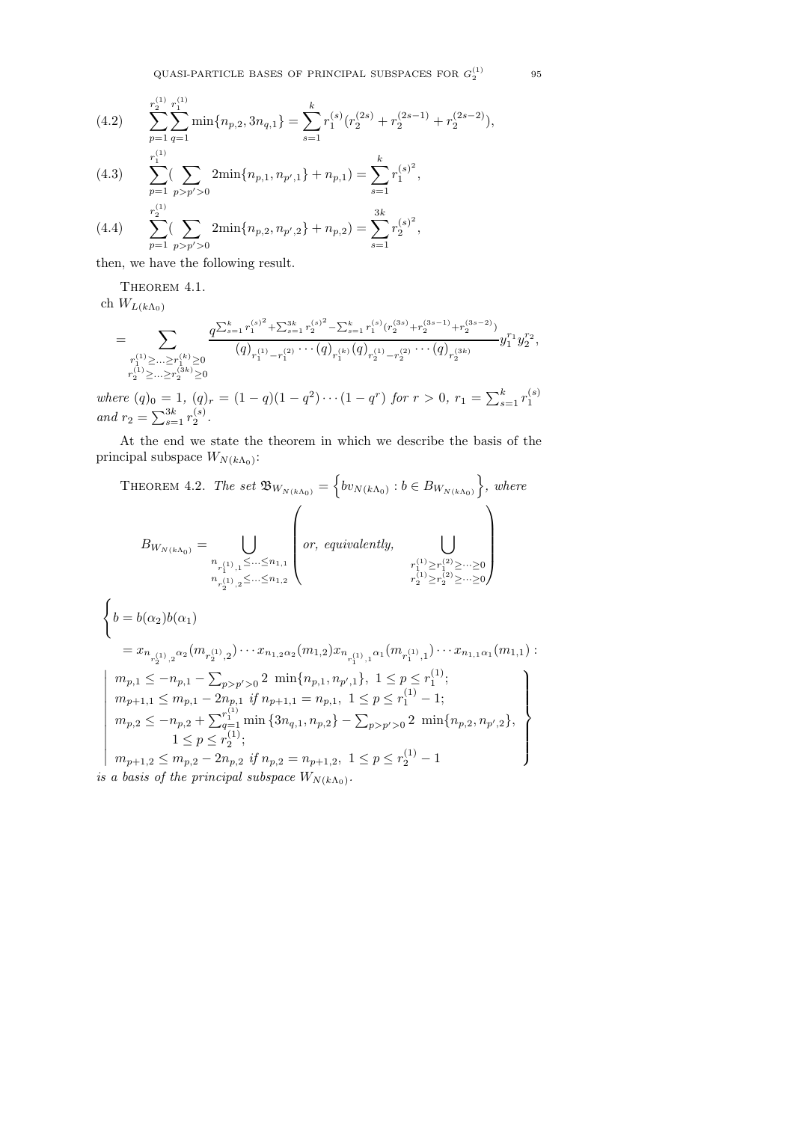QUASI-PARTICLE BASES OF PRINCIPAL SUBSPACES FOR  $G_2^{(1)}$ 

(4.2) 
$$
\sum_{p=1}^{r_2^{(1)}} \sum_{q=1}^{r_1^{(1)}} \min\{n_{p,2}, 3n_{q,1}\} = \sum_{s=1}^k r_1^{(s)}(r_2^{(2s)} + r_2^{(2s-1)} + r_2^{(2s-2)}),
$$

(4.3) 
$$
\sum_{p=1}^{r_1} \sum_{p>p'>0} 2\min\{n_{p,1}, n_{p',1}\} + n_{p,1}) = \sum_{s=1}^{k} r_1^{(s)^2},
$$

$$
r_2^{(1)}
$$

(4.4) 
$$
\sum_{p=1}^{r_2} \left( \sum_{p>p'>0} 2\min\{n_{p,2}, n_{p',2}\} + n_{p,2} \right) = \sum_{s=1}^{3K} r_2^{(s)^2},
$$

then, we have the following result.

THEOREM 4.1.

ch  $W_{L(k\Lambda_0)}$ 

$$
=\sum_{\substack{r^{(1)}_1\geq \ldots \geq r^{(k)}_1\geq 0\\ r^{(1)}_2\geq \ldots \geq r^{(3k)}_2\geq 0\\ r^{(3k)}_2\geq 0}}\frac{q^{\sum_{s=1}^k r^{(s)^2}_1+\sum_{s=1}^{3k}r^{(s)^2}_2-\sum_{s=1}^k r^{(s)}_1(r^{(3s)}_2+r^{(3s-1)}_2+r^{(3s-2)}_2)}{(q)_{r^{(1)}_1-r^{(2)}_1}\cdots (q)_{r^{(k)}_1}(q)_{r^{(1)}_2-r^{(2)}_2}\cdots (q)_{r^{(3k)}_2}}y_1^{r_1}y_2^{r_2},
$$

where  $(q)_0 = 1$ ,  $(q)_r = (1 - q)(1 - q^2) \cdots (1 - q^r)$  for  $r > 0$ ,  $r_1 = \sum_{s=1}^k r_1^{(s)}$ and  $r_2 = \sum_{s=1}^{3k} r_2^{(s)}$ .

At the end we state the theorem in which we describe the basis of the principal subspace  $W_{N(k\Lambda_0)}$ :

THEOREM 4.2. The set 
$$
\mathfrak{B}_{W_{N(k\Lambda_0)}} = \left\{ b v_{N(k\Lambda_0)} : b \in B_{W_{N(k\Lambda_0)}} \right\}
$$
, where\n
$$
B_{W_{N(k\Lambda_0)}} = \bigcup_{\substack{n_{r_1^{(1)},1} \leq \dots \leq n_{1,1} \\ n_{r_2^{(1)},2} \leq \dots \leq n_{1,2}}} \left( or, \text{ equivalently, } \bigcup_{\substack{r_1^{(1)} \geq r_1^{(2)} \geq \dots \geq 0 \\ r_2^{(1)} \geq r_2^{(2)} \geq \dots \geq 0}} \right)
$$
\n
$$
\left\{ b = b(\alpha_2) b(\alpha_1) \right.
$$
\n
$$
= x_{n_{r_2^{(1)},2} \alpha_2} (m_{r_2^{(1)},2}) \cdots x_{n_{1,2} \alpha_2} (m_{1,2}) x_{n_{r_1^{(1)},1} \alpha_1} (m_{r_1^{(1)},1}) \cdots x_{n_{1,1} \alpha_1} (m_{1,1}) :
$$
\n
$$
\left| \begin{array}{l} m_{p,1} \leq -n_{p,1} - \sum_{p > p' > 0} 2 \min\{n_{p,1}, n_{p',1}\}, 1 \leq p \leq r_1^{(1)}; \\ m_{p+1,1} \leq m_{p,1} - 2n_{p,1} \text{ if } n_{p+1,1} = n_{p,1}, 1 \leq p \leq r_1^{(1)} - 1; \\ m_{p,2} \leq -n_{p,2} + \sum_{q=1}^{r_1^{(1)}} \min\{3n_{q,1}, n_{p,2}\} - \sum_{p > p' > 0} 2 \min\{n_{p,2}, n_{p',2}\}, \\ 1 \leq p \leq r_2^{(1)}; \\ m_{p+1,2} \leq m_{p,2} - 2n_{p,2} \text{ if } n_{p,2} = n_{p+1,2}, 1 \leq p \leq r_2^{(1)} - 1 \end{array} \right\}
$$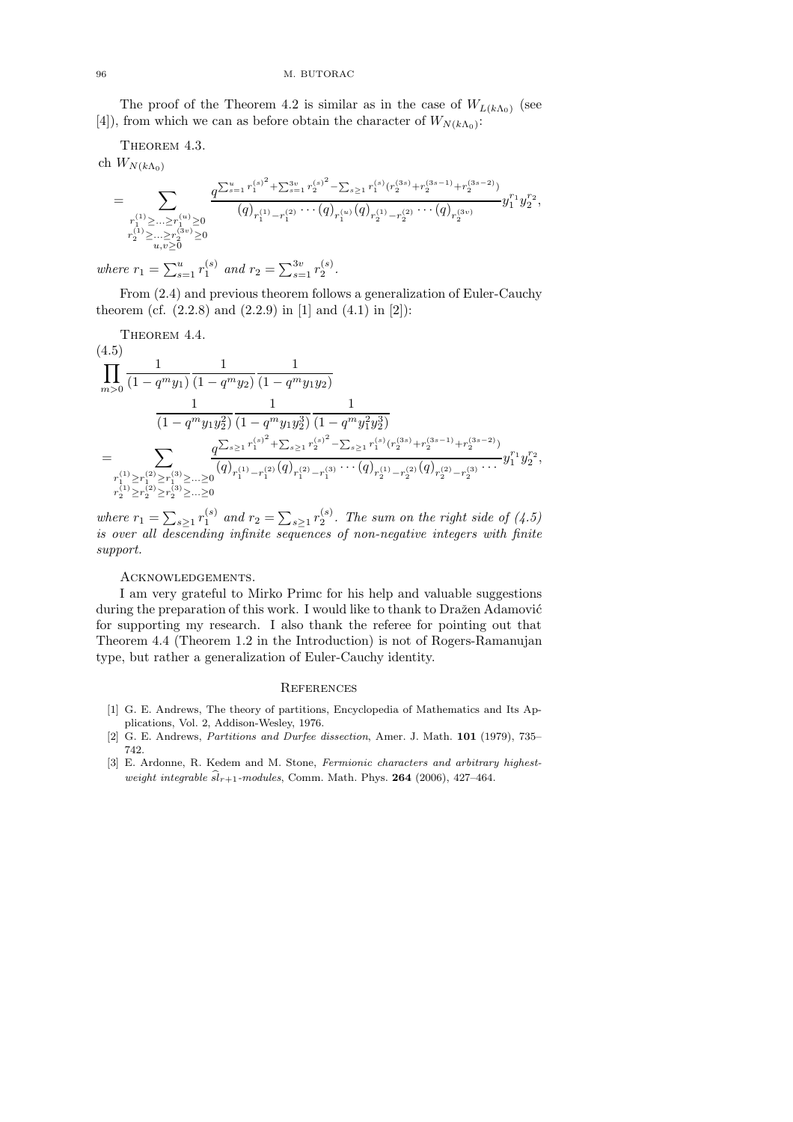The proof of the Theorem 4.2 is similar as in the case of  $W_{L(k\Lambda_0)}$  (see [4]), from which we can as before obtain the character of  $W_{N(k\Lambda_0)}$ :

THEOREM 4.3.

ch  $W_{N(k\Lambda_0)}$ 

$$
=\sum_{\substack{r_1^{(1)} \geq ... \geq r_1^{(u)} \geq 0 \\ r_2^{(1)} \geq ... \geq r_2^{(3v)} \geq 0 \\ u,v \geq 0}} \frac {q^{\sum_{s=1}^u r_1^{(s)^2} + \sum_{s=1}^{3v} r_2^{(s)^2} - \sum_{s \geq 1} r_1^{(s)} (r_2^{(3s)} + r_2^{(3s-1)} + r_2^{(3s-2)})}}{(q)_{r_1^{(1)} - r_1^{(2)}} \cdots (q)_{r_1^{(u)}} (q)_{r_2^{(1)} - r_2^{(2)}} \cdots (q)_{r_2^{(3v)}}} y_1^{r_1} y_2^{r_2},
$$

where  $r_1 = \sum_{s=1}^{u} r_1^{(s)}$  and  $r_2 = \sum_{s=1}^{3v} r_2^{(s)}$ .

From (2.4) and previous theorem follows a generalization of Euler-Cauchy theorem (cf.  $(2.2.8)$  and  $(2.2.9)$  in [1] and  $(4.1)$  in [2]):

THEOREM 4.4.  $(4.5)$ 

$$
(4.5)
$$
\n
$$
\prod_{m>0} \frac{1}{(1-q^m y_1)} \frac{1}{(1-q^m y_2)} \frac{1}{(1-q^m y_1 y_2)}
$$
\n
$$
\frac{1}{(1-q^m y_1 y_2^2)} \frac{1}{(1-q^m y_1 y_2^3)} \frac{1}{(1-q^m y_1^2 y_2^3)}
$$
\n
$$
= \sum_{\substack{r_1^{(1)} \ge r_1^{(2)} \ge r_1^{(3)} \ge \dots \ge 0}} \frac{q^{\sum_{s \ge 1} r_1^{(s)^2} + \sum_{s \ge 1} r_2^{(s)^2} - \sum_{s \ge 1} r_1^{(s)} (r_2^{(3s)} + r_2^{(3s-1)} + r_2^{(3s-2)})}}{q(r_1^{(1)} - r_1^{(2)} + r_2^{(1)} - r_1^{(2)} + r_2^{(2)} - r_1^{(3)} + \dots + r_2^{(1)} - r_2^{(2)} + r_2^{(2)} - r_2^{(3)} - \dots + r_2^{(1)} + r_2^{(1)} - r_2^{(2)} + \dots + r_2^{(1)} - r_2^{(2)} - r_2^{(2)} - \dots + r_2^{(1)} - r_2^{(2)} - \dots + r_2^{(1)} - r_2^{(2)} - \dots + r_2^{(1)} - \dots + r_2^{(1)} - \dots + r_2^{(1)} - \dots + r_2^{(1)} - \dots + r_2^{(1)} - \dots + r_2^{(1)} - \dots + r_2^{(1)} - \dots + r_2^{(1)} - \dots + r_2^{(1)} - \dots + r_2^{(1)} - \dots + r_2^{(1)} - \dots + r_2^{(1)} - \dots + r_2^{(1)} - \dots + r_2^{(1)} - \dots + r_2^{(1)} - \dots + r_2^{(1)} - \dots + r_2^{(1)} - \dots + r_2^{(1)} - \dots + r_2^{(1)} - \dots + r_2^{(1)} - \dots + r_2^{(1)} - \dots + r_2^{(1)} - \dots + r_2^{(1)} - \dots + r_2^{(1)} - \dots + r_2^{(1)} - \dots + r_2^{(1)} - \dots + r_2^{(1)} - \dots + r_2^{(1)} - \
$$

where  $r_1 = \sum_{s\geq 1} r_1^{(s)}$  and  $r_2 = \sum_{s\geq 1} r_2^{(s)}$ . The sum on the right side of (4.5) is over all descending infinite sequences of non-negative integers with finite support.

# Acknowledgements.

I am very grateful to Mirko Primc for his help and valuable suggestions during the preparation of this work. I would like to thank to Dražen Adamović for supporting my research. I also thank the referee for pointing out that Theorem 4.4 (Theorem 1.2 in the Introduction) is not of Rogers-Ramanujan type, but rather a generalization of Euler-Cauchy identity.

#### **REFERENCES**

- [1] G. E. Andrews, The theory of partitions, Encyclopedia of Mathematics and Its Applications, Vol. 2, Addison-Wesley, 1976.
- [2] G. E. Andrews, Partitions and Durfee dissection, Amer. J. Math. 101 (1979), 735– 742.
- [3] E. Ardonne, R. Kedem and M. Stone, Fermionic characters and arbitrary highestweight integrable  $\widehat{sl}_{r+1}$ -modules, Comm. Math. Phys. 264 (2006), 427–464.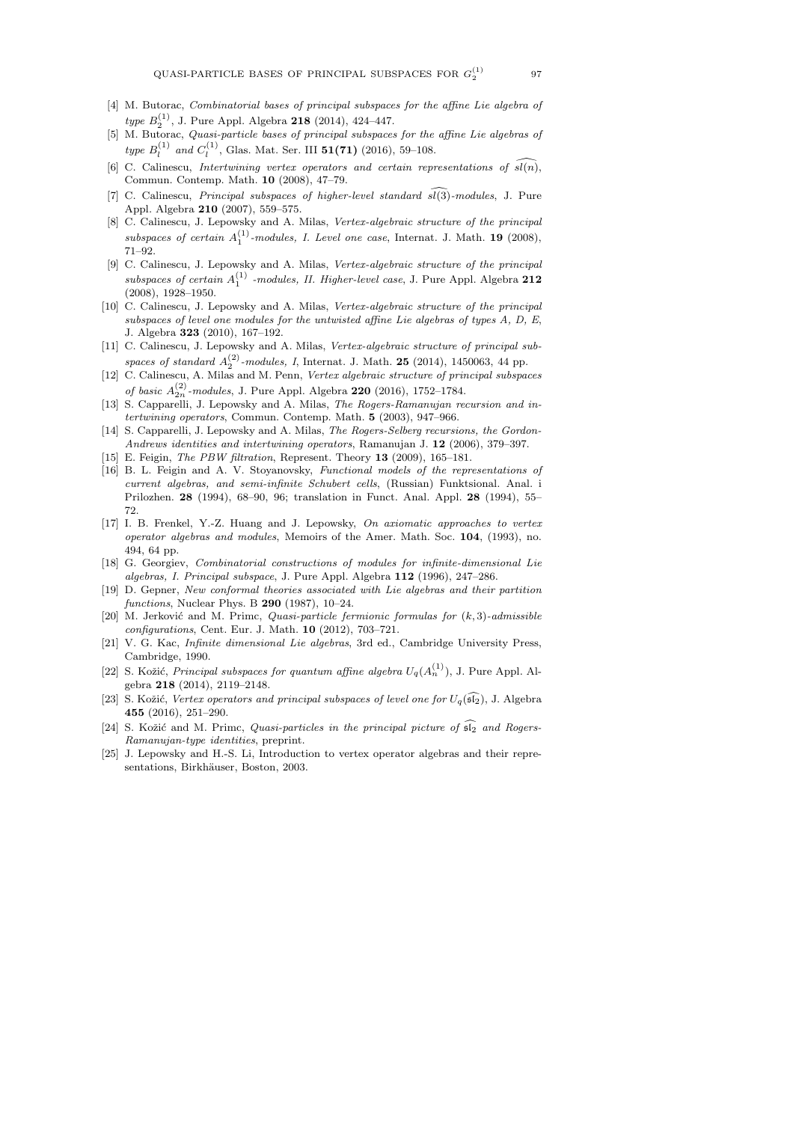- [4] M. Butorac, *Combinatorial bases of principal subspaces for the affine Lie algebra of* type  $B_2^{(1)}$ , J. Pure Appl. Algebra 218 (2014), 424-447.
- [5] M. Butorac, Quasi-particle bases of principal subspaces for the affine Lie algebras of type  $B_l^{(1)}$  and  $C_l^{(1)}$ , Glas. Mat. Ser. III 51(71) (2016), 59–108.
- [6] C. Calinescu, Intertwining vertex operators and certain representations of  $\widehat{sl(n)}$ , Commun. Contemp. Math. 10 (2008), 47–79.
- [7] C. Calinescu, *Principal subspaces of higher-level standard*  $\widehat{s(3)}$ -modules, J. Pure Appl. Algebra 210 (2007), 559–575.
- [8] C. Calinescu, J. Lepowsky and A. Milas, Vertex-algebraic structure of the principal subspaces of certain  $A_1^{(1)}$ -modules, I. Level one case, Internat. J. Math. 19 (2008), 71–92.
- [9] C. Calinescu, J. Lepowsky and A. Milas, Vertex-algebraic structure of the principal subspaces of certain  $A_1^{(1)}$  -modules, II. Higher-level case, J. Pure Appl. Algebra 212 (2008), 1928–1950.
- [10] C. Calinescu, J. Lepowsky and A. Milas, Vertex-algebraic structure of the principal subspaces of level one modules for the untwisted affine Lie algebras of types A, D, E, J. Algebra 323 (2010), 167–192.
- [11] C. Calinescu, J. Lepowsky and A. Milas, Vertex-algebraic structure of principal subspaces of standard  $A_2^{(2)}$ -modules, I, Internat. J. Math. **25** (2014), 1450063, 44 pp.
- [12] C. Calinescu, A. Milas and M. Penn, Vertex algebraic structure of principal subspaces of basic  $A_{2n}^{(2)}$ -modules, J. Pure Appl. Algebra 220 (2016), 1752–1784.
- [13] S. Capparelli, J. Lepowsky and A. Milas, The Rogers-Ramanujan recursion and intertwining operators, Commun. Contemp. Math. 5 (2003), 947–966.
- [14] S. Capparelli, J. Lepowsky and A. Milas, The Rogers-Selberg recursions, the Gordon-Andrews identities and intertwining operators, Ramanujan J. 12 (2006), 379–397.
- [15] E. Feigin, *The PBW filtration*, Represent. Theory **13** (2009), 165-181.
- [16] B. L. Feigin and A. V. Stoyanovsky, Functional models of the representations of current algebras, and semi-infinite Schubert cells, (Russian) Funktsional. Anal. i Prilozhen. 28 (1994), 68–90, 96; translation in Funct. Anal. Appl. 28 (1994), 55– 72.
- [17] I. B. Frenkel, Y.-Z. Huang and J. Lepowsky, On axiomatic approaches to vertex operator algebras and modules, Memoirs of the Amer. Math. Soc. 104, (1993), no. 494, 64 pp.
- [18] G. Georgiev, Combinatorial constructions of modules for infinite-dimensional Lie algebras, I. Principal subspace, J. Pure Appl. Algebra 112 (1996), 247–286.
- [19] D. Gepner, New conformal theories associated with Lie algebras and their partition functions, Nuclear Phys. B 290 (1987), 10–24.
- [20] M. Jerković and M. Primc, *Quasi-particle fermionic formulas for*  $(k, 3)$ -admissible configurations, Cent. Eur. J. Math. 10 (2012), 703–721.
- [21] V. G. Kac, Infinite dimensional Lie algebras, 3rd ed., Cambridge University Press, Cambridge, 1990.
- [22] S. Kožić, *Principal subspaces for quantum affine algebra*  $U_q(A_n^{(1)})$ , J. Pure Appl. Algebra 218 (2014), 2119–2148.
- [23] S. Kožić, Vertex operators and principal subspaces of level one for  $U_q(\widehat{\mathfrak{sl}_2})$ , J. Algebra 455 (2016), 251–290.
- [24] S. Kožić and M. Primc, *Quasi-particles in the principal picture of*  $\widehat{\mathfrak{sl}_2}$  and Rogers-Ramanujan-type identities, preprint.
- [25] J. Lepowsky and H.-S. Li, Introduction to vertex operator algebras and their representations, Birkhäuser, Boston, 2003.